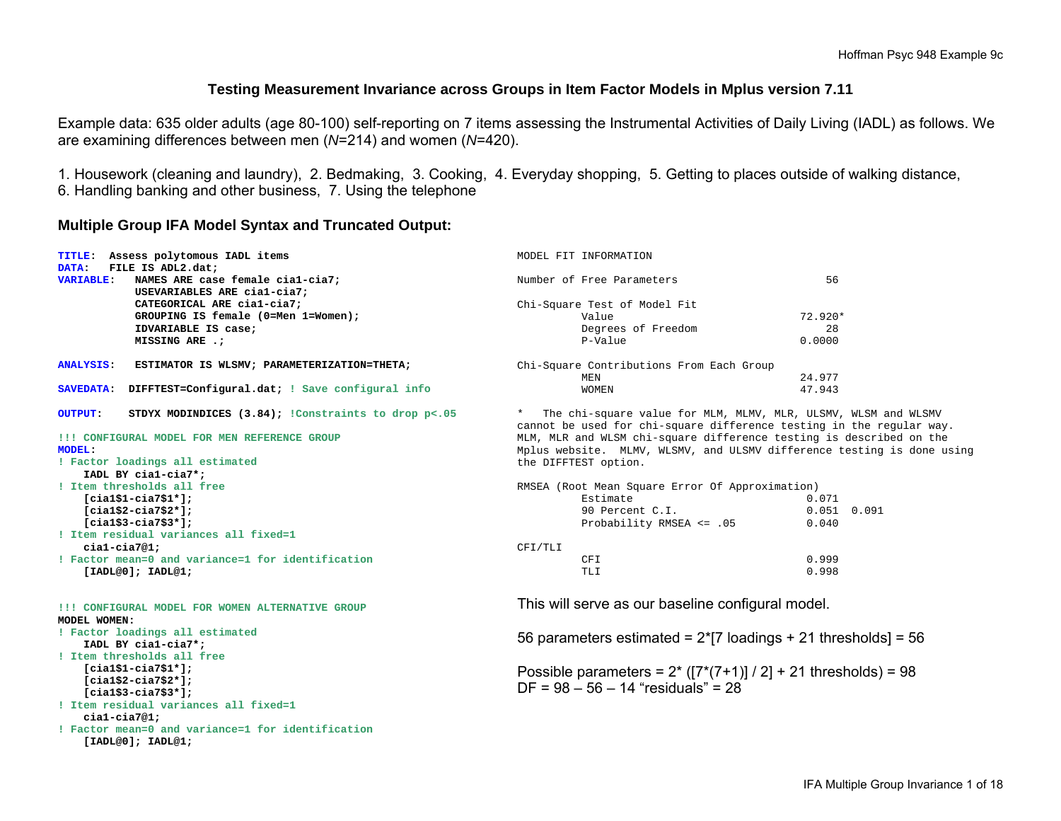#### **Testing Measurement Invariance across Groups in Item Factor Models in Mplus version 7.11**

Example data: 635 older adults (age 80-100) self-reporting on 7 items assessing the Instrumental Activities of Daily Living (IADL) as follows. We are examining differences between men (*N*=214) and women (*N*=420).

1. Housework (cleaning and laundry), 2. Bedmaking, 3. Cooking, 4. Everyday shopping, 5. Getting to places outside of walking distance, 6. Handling banking and other business, 7. Using the telephone

#### **Multiple Group IFA Model Syntax and Truncated Output:**

|                  | TITLE: Assess polytomous IADL items                      | MODEL FIT INFORMATION                                                  |                 |  |  |  |  |
|------------------|----------------------------------------------------------|------------------------------------------------------------------------|-----------------|--|--|--|--|
| DATA:            | FILE IS ADL2.dat;                                        |                                                                        |                 |  |  |  |  |
| <b>VARIABLE:</b> | NAMES ARE case female cial-cia7;                         | Number of Free Parameters                                              | 56              |  |  |  |  |
|                  | USEVARIABLES ARE cial-cia7;                              |                                                                        |                 |  |  |  |  |
|                  | CATEGORICAL ARE cial-cia7;                               | Chi-Square Test of Model Fit                                           |                 |  |  |  |  |
|                  | GROUPING IS female (0=Men 1=Women);                      | Value                                                                  | 72.920*         |  |  |  |  |
|                  | IDVARIABLE IS case;                                      | Degrees of Freedom                                                     | 28              |  |  |  |  |
|                  | MISSING ARE .;                                           | P-Value                                                                | 0.0000          |  |  |  |  |
| <b>ANALYSIS:</b> | ESTIMATOR IS WLSMV; PARAMETERIZATION=THETA;              | Chi-Square Contributions From Each Group                               |                 |  |  |  |  |
|                  |                                                          | MEN                                                                    | 24.977          |  |  |  |  |
| <b>SAVEDATA:</b> | DIFFTEST=Configural.dat; ! Save configural info          | <b>WOMEN</b>                                                           | 47.943          |  |  |  |  |
| <b>OUTPUT:</b>   | STDYX MODINDICES $(3.84)$ ; !Constraints to drop $p<.05$ | The chi-square value for MLM, MLMV, MLR, ULSMV, WLSM and WLSMV         |                 |  |  |  |  |
|                  |                                                          | cannot be used for chi-square difference testing in the regular way.   |                 |  |  |  |  |
|                  | !!! CONFIGURAL MODEL FOR MEN REFERENCE GROUP             | MLM, MLR and WLSM chi-square difference testing is described on the    |                 |  |  |  |  |
| <b>MODEL:</b>    |                                                          | Mplus website. MLMV, WLSMV, and ULSMV difference testing is done using |                 |  |  |  |  |
|                  | ! Factor loadings all estimated                          | the DIFFTEST option.                                                   |                 |  |  |  |  |
|                  | IADL BY cial-cia7*;                                      |                                                                        |                 |  |  |  |  |
|                  | ! Item thresholds all free                               | RMSEA (Root Mean Square Error Of Approximation)                        |                 |  |  |  |  |
|                  | $[cial$1-cia7$1*];$                                      | Estimate                                                               | 0.071           |  |  |  |  |
|                  | $[cial$2-cia7$2*];$                                      | 90 Percent C.I.                                                        | $0.051$ $0.091$ |  |  |  |  |
|                  | $[cial$3-cia7$3*];$                                      | Probability RMSEA <= .05                                               | 0.040           |  |  |  |  |
|                  | ! Item residual variances all fixed=1                    |                                                                        |                 |  |  |  |  |
|                  | $cial-cia7@1;$                                           | CFI/TLI                                                                |                 |  |  |  |  |
|                  | ! Factor mean=0 and variance=1 for identification        | CFI                                                                    | 0.999           |  |  |  |  |
|                  | [IADL@0]; IADL@1;                                        | TLI                                                                    | 0.998           |  |  |  |  |
|                  | !!! CONFIGURAL MODEL FOR WOMEN ALTERNATIVE GROUP         | This will serve as our baseline configural model.                      |                 |  |  |  |  |
| MODEL WOMEN:     |                                                          |                                                                        |                 |  |  |  |  |
|                  | ! Factor loadings all estimated<br>IADL BY cial-cia7*;   | 56 parameters estimated = $2*[7$ loadings + 21 thresholds] = 56        |                 |  |  |  |  |
|                  | ! Item thresholds all free                               |                                                                        |                 |  |  |  |  |
|                  | $[cial$1-cia7$1*];$                                      | Possible parameters = $2*(7*(7+1))/2$ + 21 thresholds) = 98            |                 |  |  |  |  |
|                  | $[cial$2-ci$3$2*]$ ;                                     |                                                                        |                 |  |  |  |  |
|                  | $[cial$3-cia7$3*];$                                      | $DF = 98 - 56 - 14$ "residuals" = 28                                   |                 |  |  |  |  |
|                  | ! Item residual variances all fixed=1                    |                                                                        |                 |  |  |  |  |
|                  | $cial-cia7@1;$                                           |                                                                        |                 |  |  |  |  |
|                  | ! Factor mean=0 and variance=1 for identification        |                                                                        |                 |  |  |  |  |
|                  | [IADL@0]; IADL@1;                                        |                                                                        |                 |  |  |  |  |
|                  |                                                          |                                                                        |                 |  |  |  |  |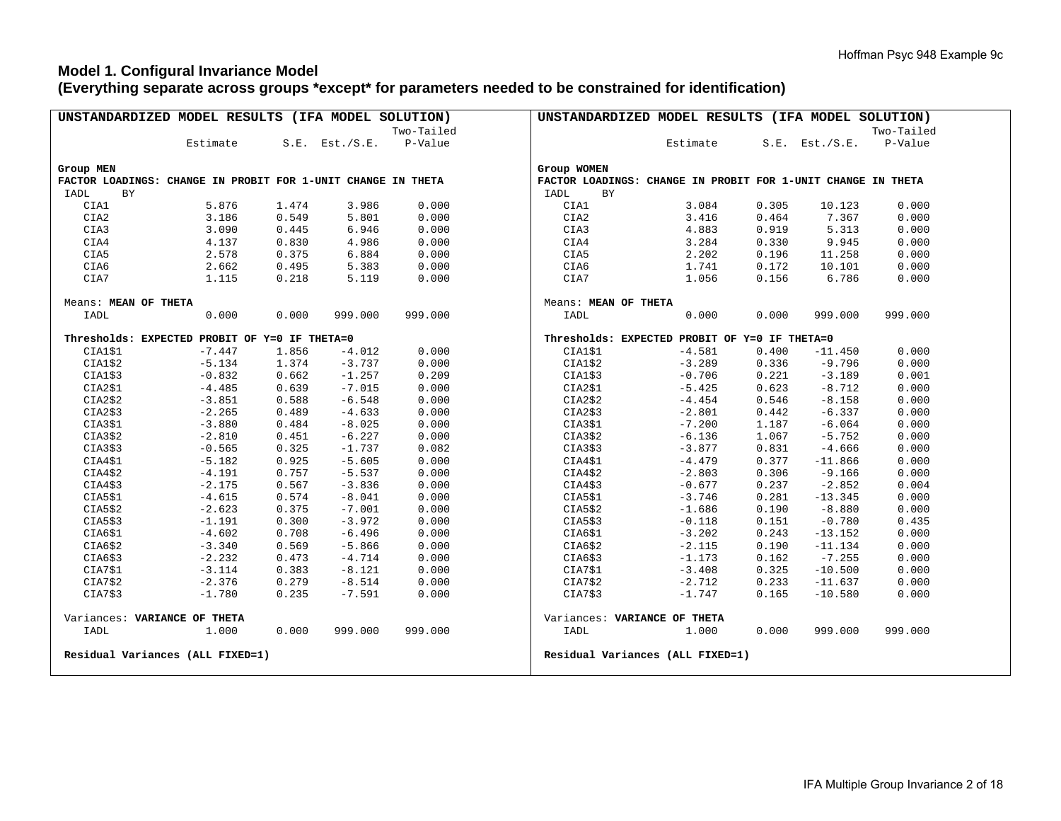#### **Model 1. Configural Invariance Model (Everything separate across groups \*except\* for parameters needed to be constrained for identification)**

| UNSTANDARDIZED MODEL RESULTS (IFA MODEL SOLUTION) |                                                              |       |                     |            | UNSTANDARDIZED MODEL RESULTS (IFA MODEL SOLUTION)            |
|---------------------------------------------------|--------------------------------------------------------------|-------|---------------------|------------|--------------------------------------------------------------|
|                                                   |                                                              |       |                     | Two-Tailed | Two-Tailed                                                   |
|                                                   | Estimate                                                     |       | $S.E.$ Est./ $S.E.$ | P-Value    | Estimate<br>$S.E.$ Est./ $S.E.$<br>P-Value                   |
|                                                   |                                                              |       |                     |            |                                                              |
| Group MEN                                         |                                                              |       |                     |            | Group WOMEN                                                  |
|                                                   | FACTOR LOADINGS: CHANGE IN PROBIT FOR 1-UNIT CHANGE IN THETA |       |                     |            | FACTOR LOADINGS: CHANGE IN PROBIT FOR 1-UNIT CHANGE IN THETA |
| IADL<br>BY                                        |                                                              |       |                     |            | IADL<br>BY                                                   |
| CIA1                                              | 5.876                                                        | 1.474 | 3.986               | 0.000      | CIA1<br>3.084<br>0.305<br>10.123<br>0.000                    |
| CIA2                                              | 3.186                                                        | 0.549 | 5.801               | 0.000      | 7.367<br>CIA2<br>3.416<br>0.464<br>0.000                     |
| CIA3                                              | 3.090                                                        | 0.445 | 6.946               | 0.000      | 4.883<br>0.919<br>5.313<br>0.000<br>CIA3                     |
| CIA4                                              | 4.137                                                        | 0.830 | 4.986               | 0.000      | 0.000<br>CIA4<br>3.284<br>0.330<br>9.945                     |
| CIA5                                              | 2.578                                                        | 0.375 | 6.884               | 0.000      | 0.000<br>CIA5<br>2.202<br>0.196<br>11.258                    |
| CIA6                                              | 2.662                                                        | 0.495 | 5.383               | 0.000      | 0.172<br>0.000<br>CIA6<br>1.741<br>10.101                    |
| CIA7                                              | 1.115                                                        | 0.218 | 5.119               | 0.000      | 0.156<br>6.786<br>0.000<br>CIA7<br>1.056                     |
|                                                   |                                                              |       |                     |            |                                                              |
| Means: MEAN OF THETA                              |                                                              |       |                     |            | Means: MEAN OF THETA                                         |
| IADL                                              | 0.000                                                        | 0.000 | 999.000             | 999.000    | IADL<br>0.000<br>0.000<br>999.000<br>999.000                 |
|                                                   | Thresholds: EXPECTED PROBIT OF Y=0 IF THETA=0                |       |                     |            | Thresholds: EXPECTED PROBIT OF Y=0 IF THETA=0                |
| CIA1\$1                                           | $-7.447$                                                     | 1.856 | $-4.012$            | 0.000      | CIA1\$1<br>$-4.581$<br>0.400<br>$-11.450$<br>0.000           |
| CIA1\$2                                           | $-5.134$                                                     | 1.374 | $-3.737$            | 0.000      | CIAI\$2<br>0.336<br>$-9.796$<br>0.000<br>$-3.289$            |
| CIA1\$3                                           | $-0.832$                                                     | 0.662 | $-1.257$            | 0.209      | CIA1\$3<br>0.221<br>$-3.189$<br>0.001<br>$-0.706$            |
| CIA2\$1                                           | $-4.485$                                                     | 0.639 | $-7.015$            | 0.000      | CIA2\$1<br>0.623<br>$-8.712$<br>0.000<br>$-5.425$            |
| CIA2\$2                                           | $-3.851$                                                     | 0.588 | $-6.548$            | 0.000      | CIA2\$2<br>$-8.158$<br>0.000<br>$-4.454$<br>0.546            |
| CIA2\$3                                           | $-2.265$                                                     | 0.489 | $-4.633$            | 0.000      | CIA2\$3<br>$-6.337$<br>0.000<br>$-2.801$<br>0.442            |
| CIA3\$1                                           | $-3.880$                                                     | 0.484 | $-8.025$            | 0.000      | CIA3\$1<br>$-6.064$<br>0.000<br>$-7.200$<br>1.187            |
| CIA3\$2                                           | $-2.810$                                                     | 0.451 | $-6.227$            | 0.000      | CIA3\$2<br>0.000<br>$-6.136$<br>1.067<br>$-5.752$            |
| CIA3\$3                                           | $-0.565$                                                     | 0.325 | $-1.737$            | 0.082      | 0.000<br>CIA3\$3<br>$-3.877$<br>0.831<br>$-4.666$            |
| CIA4\$1                                           | $-5.182$                                                     | 0.925 | $-5.605$            | 0.000      | $-4.479$<br>0.377<br>0.000<br>CIA4\$1<br>$-11.866$           |
| CIA4\$2                                           | $-4.191$                                                     | 0.757 | $-5.537$            | 0.000      | 0.000<br>CIA4\$2<br>0.306<br>$-9.166$<br>$-2.803$            |
| CIA4\$3                                           | $-2.175$                                                     | 0.567 | $-3.836$            | 0.000      | CIA4\$3<br>0.237<br>$-2.852$<br>0.004<br>$-0.677$            |
| CIA5\$1                                           | $-4.615$                                                     | 0.574 | $-8.041$            | 0.000      | CIA5\$1<br>0.000<br>$-3.746$<br>0.281<br>$-13.345$           |
| CIA5\$2                                           | $-2.623$                                                     | 0.375 | $-7.001$            | 0.000      | CIA5\$2<br>0.190<br>$-8.880$<br>0.000<br>$-1.686$            |
| CIA5\$3                                           | $-1.191$                                                     | 0.300 | $-3.972$            | 0.000      | CIA5\$3<br>$-0.780$<br>0.435<br>$-0.118$<br>0.151            |
| CIA6\$1                                           | $-4.602$                                                     | 0.708 | $-6.496$            | 0.000      | CIA6\$1<br>0.243<br>0.000<br>$-3.202$<br>$-13.152$           |
| CIA6\$2                                           | $-3.340$                                                     | 0.569 | $-5.866$            | 0.000      | CIA6\$2<br>0.000<br>$-2.115$<br>0.190<br>$-11.134$           |
| CIA6\$3                                           | $-2.232$                                                     | 0.473 | $-4.714$            | 0.000      | CIA6\$3<br>$-7.255$<br>0.000<br>$-1.173$<br>0.162            |
| CIA7\$1                                           | $-3.114$                                                     | 0.383 | $-8.121$            | 0.000      | 0.325<br>0.000<br>CIA7\$1<br>$-3.408$<br>$-10.500$           |
| CIA7\$2                                           | $-2.376$                                                     | 0.279 | $-8.514$            | 0.000      | CIA7\$2<br>0.233<br>0.000<br>$-2.712$<br>$-11.637$           |
|                                                   |                                                              |       |                     |            |                                                              |
| CIA7\$3                                           | $-1.780$                                                     | 0.235 | $-7.591$            | 0.000      | CIA7\$3<br>0.165<br>0.000<br>$-1.747$<br>$-10.580$           |
|                                                   | Variances: VARIANCE OF THETA                                 |       |                     |            | Variances: VARIANCE OF THETA                                 |
| IADL                                              | 1.000                                                        | 0.000 | 999.000             | 999.000    | IADL<br>1.000<br>0.000<br>999.000<br>999.000                 |
|                                                   | Residual Variances (ALL FIXED=1)                             |       |                     |            | Residual Variances (ALL FIXED=1)                             |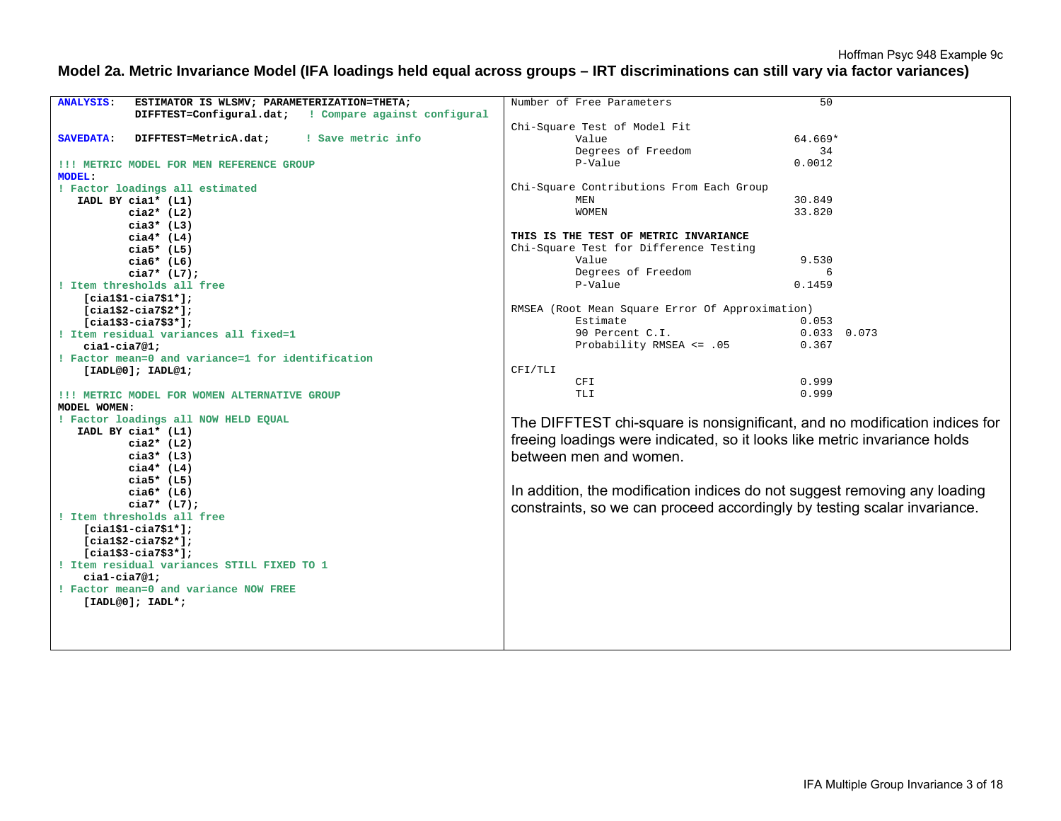#### **Model 2a. Metric Invariance Model (IFA loadings held equal across groups – IRT discriminations can still vary via factor variances)**

| <b>ANALYSIS:</b><br>ESTIMATOR IS WLSMV; PARAMETERIZATION=THETA; | Number of Free Parameters<br>50                                            |
|-----------------------------------------------------------------|----------------------------------------------------------------------------|
| DIFFTEST=Configural.dat; ! Compare against configural           |                                                                            |
|                                                                 | Chi-Square Test of Model Fit                                               |
| ! Save metric info<br>DIFFTEST=MetricA.dat;<br><b>SAVEDATA:</b> | 64.669*<br>Value                                                           |
|                                                                 | Degrees of Freedom<br>34                                                   |
| !!! METRIC MODEL FOR MEN REFERENCE GROUP                        | P-Value<br>0.0012                                                          |
| <b>MODEL:</b>                                                   |                                                                            |
| ! Factor loadings all estimated                                 | Chi-Square Contributions From Each Group                                   |
| IADL BY cial* (L1)                                              | 30.849<br>MEN                                                              |
| $cia2*$ (L2)                                                    | <b>WOMEN</b><br>33.820                                                     |
| $cia3*$ (L3)                                                    |                                                                            |
| $cia4*$ (L4)                                                    | THIS IS THE TEST OF METRIC INVARIANCE                                      |
| cia5* $(L5)$                                                    | Chi-Square Test for Difference Testing                                     |
| $cia6*$ (L6)                                                    | Value<br>9.530                                                             |
| $cia7* (L7);$                                                   | Degrees of Freedom<br>6                                                    |
| ! Item thresholds all free                                      | P-Value<br>0.1459                                                          |
|                                                                 |                                                                            |
| $[cial$1-cia7$1*];$<br>$[cia1$2-cia7$2*];$                      | RMSEA (Root Mean Square Error Of Approximation)                            |
| $[cial$3-cia7$3*];$                                             | Estimate<br>0.053                                                          |
| ! Item residual variances all fixed=1                           | 90 Percent C.I.<br>$0.033$ 0.073                                           |
| $cial-cia7@1;$                                                  | Probability RMSEA <= .05<br>0.367                                          |
| ! Factor mean=0 and variance=1 for identification               |                                                                            |
|                                                                 | CFI/TLI                                                                    |
| [IADL@0]; IADL@1;                                               | 0.999<br>CFI                                                               |
| !!! METRIC MODEL FOR WOMEN ALTERNATIVE GROUP                    | 0.999<br>TLI                                                               |
| MODEL WOMEN:                                                    |                                                                            |
| ! Factor loadings all NOW HELD EQUAL                            |                                                                            |
| IADL BY cial* (L1)                                              | The DIFFTEST chi-square is nonsignificant, and no modification indices for |
| $cia2*$ (L2)                                                    | freeing loadings were indicated, so it looks like metric invariance holds  |
| cia $3*$ (L3)                                                   | between men and women.                                                     |
| $ci$ a4* (L4)                                                   |                                                                            |
| $cia5*$ (L5)                                                    |                                                                            |
| $cia6*$ (L6)                                                    | In addition, the modification indices do not suggest removing any loading  |
| $cia7* (L7);$                                                   |                                                                            |
| ! Item thresholds all free                                      | constraints, so we can proceed accordingly by testing scalar invariance.   |
| $[cial$1-cia7$1*];$                                             |                                                                            |
| $[cial$2-cia7$2*];$                                             |                                                                            |
| $[cial$3-cia7$3*];$                                             |                                                                            |
| ! Item residual variances STILL FIXED TO 1                      |                                                                            |
| $cial-cia7@1;$                                                  |                                                                            |
| ! Factor mean=0 and variance NOW FREE                           |                                                                            |
| $[IADL@0]; IADL*;$                                              |                                                                            |
|                                                                 |                                                                            |
|                                                                 |                                                                            |
|                                                                 |                                                                            |
|                                                                 |                                                                            |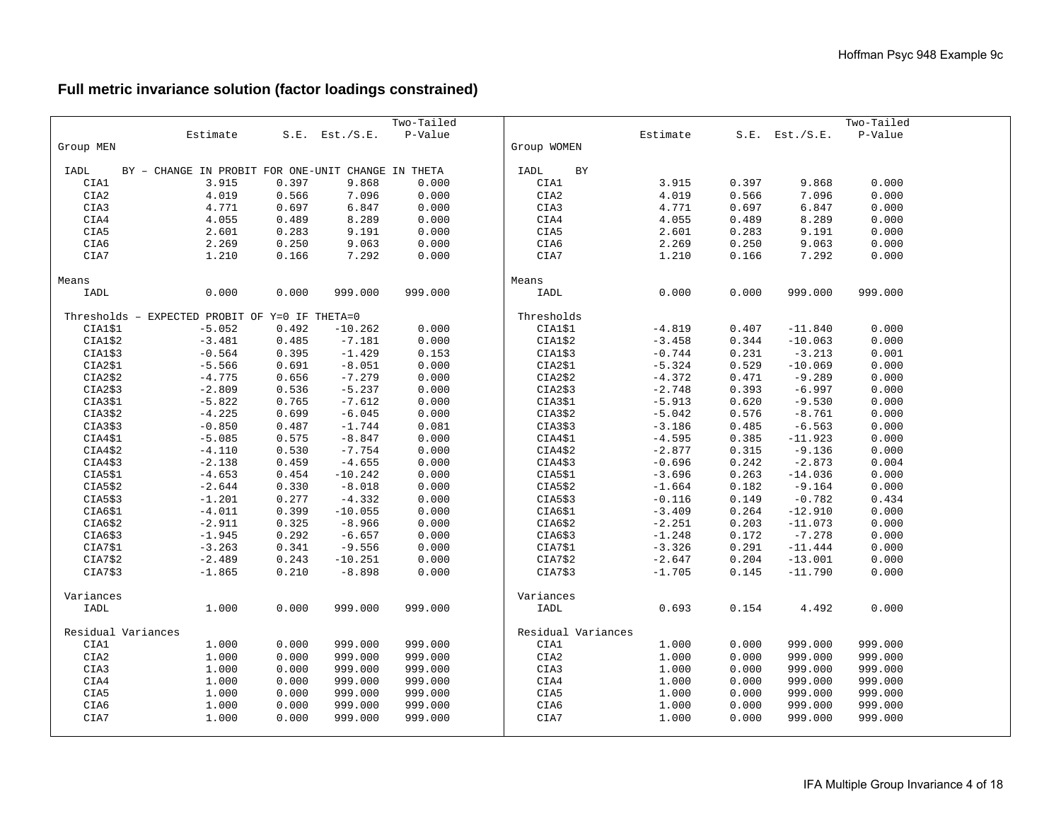# **Full metric invariance solution (factor loadings constrained)**

|                    |                                                    |       |                     | Two-Tailed |                    |          |       |                     | Two-Tailed |  |
|--------------------|----------------------------------------------------|-------|---------------------|------------|--------------------|----------|-------|---------------------|------------|--|
|                    | Estimate                                           |       | $S.E.$ Est./ $S.E.$ | P-Value    |                    | Estimate |       | $S.E.$ Est./ $S.E.$ | P-Value    |  |
| Group MEN          |                                                    |       |                     |            | Group WOMEN        |          |       |                     |            |  |
|                    |                                                    |       |                     |            |                    |          |       |                     |            |  |
| IADL               | BY - CHANGE IN PROBIT FOR ONE-UNIT CHANGE IN THETA |       |                     |            | IADL<br>BY         |          |       |                     |            |  |
| CIA1               | 3.915                                              | 0.397 | 9.868               | 0.000      | CIA1               | 3.915    | 0.397 | 9.868               | 0.000      |  |
| CIA2               | 4.019                                              | 0.566 | 7.096               | 0.000      | CIA2               | 4.019    | 0.566 | 7.096               | 0.000      |  |
| CIA3               | 4.771                                              | 0.697 | 6.847               | 0.000      | CIA3               | 4.771    | 0.697 | 6.847               | 0.000      |  |
| CIA4               | 4.055                                              | 0.489 | 8.289               | 0.000      | CIA4               | 4.055    | 0.489 | 8.289               | 0.000      |  |
| CIA5               | 2.601                                              | 0.283 | 9.191               | 0.000      | CIA5               | 2.601    | 0.283 | 9.191               | 0.000      |  |
| CIA6               | 2.269                                              | 0.250 | 9.063               | 0.000      | CIA6               | 2.269    | 0.250 | 9.063               | 0.000      |  |
| CIA7               | 1.210                                              | 0.166 | 7.292               | 0.000      | CIA7               | 1.210    | 0.166 | 7.292               | 0.000      |  |
|                    |                                                    |       |                     |            |                    |          |       |                     |            |  |
| Means              |                                                    |       |                     |            | Means              |          |       |                     |            |  |
| IADL               | 0.000                                              | 0.000 | 999.000             | 999.000    | IADL               | 0.000    | 0.000 | 999.000             | 999.000    |  |
|                    |                                                    |       |                     |            |                    |          |       |                     |            |  |
|                    | Thresholds - EXPECTED PROBIT OF Y=0 IF THETA=0     |       |                     |            | Thresholds         |          |       |                     |            |  |
| CIA1\$1            | $-5.052$                                           | 0.492 | $-10.262$           | 0.000      | CIA1\$1            | $-4.819$ | 0.407 | $-11.840$           | 0.000      |  |
| CIA1\$2            | $-3.481$                                           | 0.485 | $-7.181$            | 0.000      | CIA1\$2            | $-3.458$ | 0.344 | $-10.063$           | 0.000      |  |
| CIA1\$3            | $-0.564$                                           | 0.395 | $-1.429$            | 0.153      | CIA1\$3            | $-0.744$ | 0.231 | $-3.213$            | 0.001      |  |
| CIA2\$1            | $-5.566$                                           | 0.691 | $-8.051$            | 0.000      | CIA2\$1            | $-5.324$ | 0.529 | $-10.069$           | 0.000      |  |
| CIA2\$2            | $-4.775$                                           | 0.656 | $-7.279$            | 0.000      | CIA2\$2            | $-4.372$ | 0.471 | $-9.289$            | 0.000      |  |
| CIA2\$3            | $-2.809$                                           | 0.536 | $-5.237$            | 0.000      | CIA2\$3            | $-2.748$ | 0.393 | $-6.997$            | 0.000      |  |
| CIA3\$1            | $-5.822$                                           | 0.765 | $-7.612$            | 0.000      | CIA3\$1            | $-5.913$ | 0.620 | $-9.530$            | 0.000      |  |
| CIA3\$2            | $-4.225$                                           | 0.699 | $-6.045$            | 0.000      | CIA3\$2            | $-5.042$ | 0.576 | $-8.761$            | 0.000      |  |
| CIA3\$3            | $-0.850$                                           | 0.487 | $-1.744$            | 0.081      | CIA3\$3            | $-3.186$ | 0.485 | $-6.563$            | 0.000      |  |
| CIA4\$1            | $-5.085$                                           | 0.575 | $-8.847$            | 0.000      | CIA4\$1            | $-4.595$ | 0.385 | $-11.923$           | 0.000      |  |
| CIA4\$2            | $-4.110$                                           | 0.530 | $-7.754$            | 0.000      | CIA4\$2            | $-2.877$ | 0.315 | $-9.136$            | 0.000      |  |
| CIA4\$3            | $-2.138$                                           | 0.459 | $-4.655$            | 0.000      | CIA4\$3            | $-0.696$ | 0.242 | $-2.873$            | 0.004      |  |
| CIA5\$1            | $-4.653$                                           | 0.454 | $-10.242$           | 0.000      | CIA5\$1            | $-3.696$ | 0.263 | $-14.036$           | 0.000      |  |
| CIA5\$2            | $-2.644$                                           | 0.330 | $-8.018$            | 0.000      | CIA5\$2            | $-1.664$ | 0.182 | $-9.164$            | 0.000      |  |
| CIA5\$3            | $-1.201$                                           | 0.277 | $-4.332$            | 0.000      | CIA5\$3            | $-0.116$ | 0.149 | $-0.782$            | 0.434      |  |
| CIA6\$1            | $-4.011$                                           | 0.399 | $-10.055$           | 0.000      | CIA6\$1            | $-3.409$ | 0.264 | $-12.910$           | 0.000      |  |
| CIA6\$2            | $-2.911$                                           | 0.325 | $-8.966$            | 0.000      | CIA6\$2            | $-2.251$ | 0.203 | $-11.073$           | 0.000      |  |
| CIA6\$3            | $-1.945$                                           | 0.292 | $-6.657$            | 0.000      | CIA6\$3            | $-1.248$ | 0.172 | $-7.278$            | 0.000      |  |
| CIA7\$1            | $-3.263$                                           | 0.341 | $-9.556$            | 0.000      | CIA7\$1            | $-3.326$ | 0.291 | $-11.444$           | 0.000      |  |
| CIA7\$2            | $-2.489$                                           | 0.243 | $-10.251$           | 0.000      | CIA7\$2            | $-2.647$ | 0.204 | $-13.001$           | 0.000      |  |
| CIA7\$3            | $-1.865$                                           | 0.210 | $-8.898$            | 0.000      | CIA7\$3            | $-1.705$ | 0.145 | $-11.790$           | 0.000      |  |
|                    |                                                    |       |                     |            |                    |          |       |                     |            |  |
| Variances          |                                                    |       |                     |            | Variances          |          |       |                     |            |  |
| IADL               | 1.000                                              | 0.000 | 999.000             | 999.000    | IADL               | 0.693    | 0.154 | 4.492               | 0.000      |  |
|                    |                                                    |       |                     |            |                    |          |       |                     |            |  |
| Residual Variances |                                                    |       |                     |            | Residual Variances |          |       |                     |            |  |
| CIA1               | 1.000                                              | 0.000 | 999.000             | 999.000    | CIA1               | 1.000    | 0.000 | 999.000             | 999.000    |  |
| CIA2               | 1.000                                              | 0.000 | 999.000             | 999.000    | CIA2               | 1.000    | 0.000 | 999.000             | 999.000    |  |
| CIA3               | 1.000                                              | 0.000 | 999.000             | 999.000    | CIA3               | 1.000    | 0.000 | 999.000             | 999.000    |  |
| CIA4               | 1.000                                              | 0.000 | 999.000             | 999.000    | CIA4               | 1.000    | 0.000 | 999.000             | 999.000    |  |
| CIA5               | 1.000                                              | 0.000 | 999.000             | 999.000    | CIA5               | 1.000    | 0.000 | 999.000             | 999.000    |  |
| CIA6               | 1.000                                              | 0.000 | 999.000             | 999.000    | CIA6               | 1.000    | 0.000 | 999.000             | 999.000    |  |
| CIA7               | 1.000                                              | 0.000 | 999.000             | 999.000    | CIA7               | 1.000    | 0.000 | 999.000             | 999.000    |  |
|                    |                                                    |       |                     |            |                    |          |       |                     |            |  |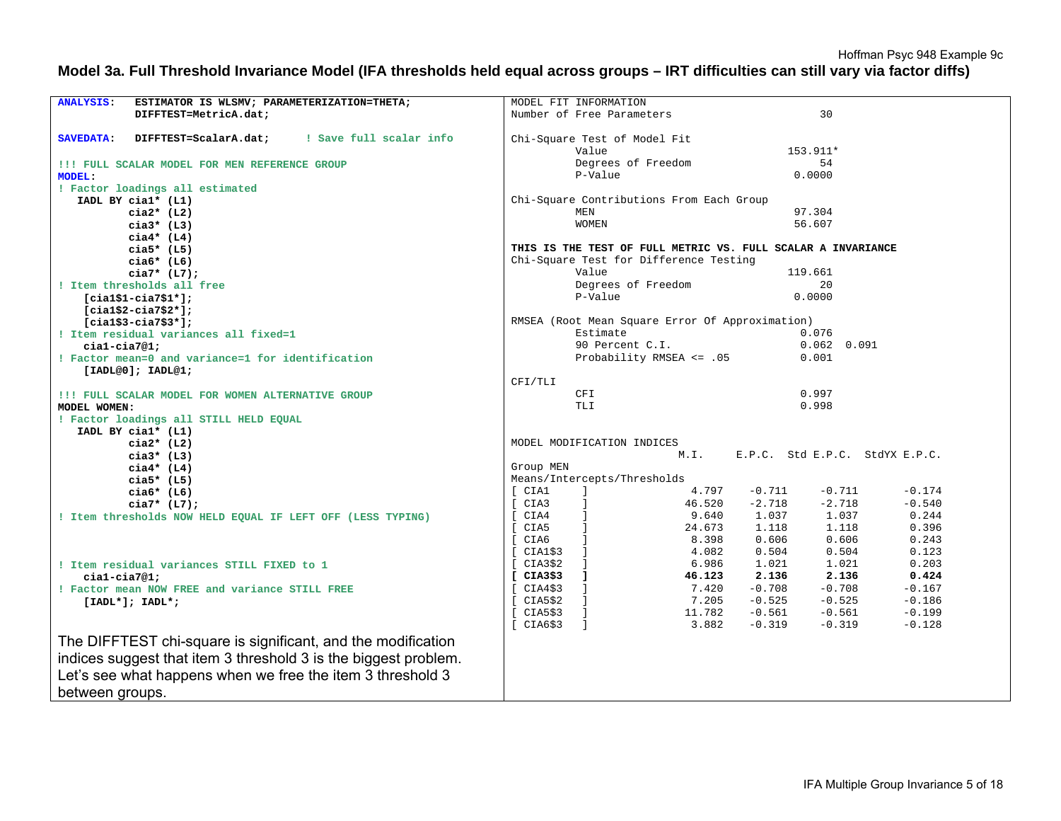Hoffman Psyc 948 Example 9c

#### **Model 3a. Full Threshold Invariance Model (IFA thresholds held equal across groups – IRT difficulties can still vary via factor diffs)**

| <b>ANALYSIS:</b><br>ESTIMATOR IS WLSMV; PARAMETERIZATION=THETA;      | MODEL FIT INFORMATION                                            |  |  |  |  |
|----------------------------------------------------------------------|------------------------------------------------------------------|--|--|--|--|
| DIFFTEST=MetricA.dat;                                                | 30                                                               |  |  |  |  |
|                                                                      | Number of Free Parameters                                        |  |  |  |  |
| ! Save full scalar info<br><b>SAVEDATA:</b><br>DIFFTEST=ScalarA.dat; | Chi-Square Test of Model Fit                                     |  |  |  |  |
|                                                                      | Value<br>153.911*                                                |  |  |  |  |
| !!! FULL SCALAR MODEL FOR MEN REFERENCE GROUP                        | Degrees of Freedom<br>54                                         |  |  |  |  |
| <b>MODEL:</b>                                                        | P-Value<br>0.0000                                                |  |  |  |  |
| ! Factor loadings all estimated                                      |                                                                  |  |  |  |  |
| IADL BY cial* (L1)                                                   | Chi-Square Contributions From Each Group                         |  |  |  |  |
| $cia2*$ (L2)                                                         | 97.304<br>MEN                                                    |  |  |  |  |
| $cia3*$ (L3)                                                         | 56.607<br><b>WOMEN</b>                                           |  |  |  |  |
| $cia4*$ (L4)                                                         |                                                                  |  |  |  |  |
| $cia5*$ (L5)                                                         | THIS IS THE TEST OF FULL METRIC VS. FULL SCALAR A INVARIANCE     |  |  |  |  |
| $cia6*$ (L6)                                                         | Chi-Square Test for Difference Testing                           |  |  |  |  |
| $cia7* (L7);$                                                        | Value<br>119.661                                                 |  |  |  |  |
| ! Item thresholds all free                                           | Degrees of Freedom<br>20                                         |  |  |  |  |
| $[cial$1-cia7$1*];$                                                  | P-Value<br>0.0000                                                |  |  |  |  |
| $[cial$2-ci$3$2*];$                                                  |                                                                  |  |  |  |  |
| $[cial$3-cia7$3*];$                                                  | RMSEA (Root Mean Square Error Of Approximation)                  |  |  |  |  |
| ! Item residual variances all fixed=1                                | Estimate<br>0.076                                                |  |  |  |  |
| $cial-cia7@1;$                                                       | 90 Percent C.I.<br>$0.062$ $0.091$                               |  |  |  |  |
| ! Factor mean=0 and variance=1 for identification                    | Probability RMSEA $\leq$ .05<br>0.001                            |  |  |  |  |
| [IADL@0]; IADL@1;                                                    |                                                                  |  |  |  |  |
|                                                                      | CFI/TLI                                                          |  |  |  |  |
| !!! FULL SCALAR MODEL FOR WOMEN ALTERNATIVE GROUP                    | 0.997<br>CFI                                                     |  |  |  |  |
| MODEL WOMEN:                                                         | 0.998<br>TLI                                                     |  |  |  |  |
| ! Factor loadings all STILL HELD EQUAL                               |                                                                  |  |  |  |  |
| IADL BY cial* (L1)                                                   |                                                                  |  |  |  |  |
| cia $2*$ (L2)                                                        | MODEL MODIFICATION INDICES                                       |  |  |  |  |
| $cia3*$ (L3)                                                         | E.P.C. Std E.P.C. StdYX E.P.C.<br>M.I.                           |  |  |  |  |
| $cia4*$ (L4)                                                         | Group MEN                                                        |  |  |  |  |
| $cia5*$ (L5)                                                         | Means/Intercepts/Thresholds                                      |  |  |  |  |
| $cia6*$ (L6)                                                         | [ CIA1<br>4.797<br>$-0.711$<br>$-0.711$<br>$-0.174$              |  |  |  |  |
| $\Gamma$<br>$cia7* (L7);$                                            | CIA3<br>46.520<br>$-2.718$<br>$-2.718$<br>$-0.540$               |  |  |  |  |
| ! Item thresholds NOW HELD EQUAL IF LEFT OFF (LESS TYPING)           | 1.037<br>[ CIA4<br>9.640<br>1.037<br>0.244                       |  |  |  |  |
|                                                                      | 1.118<br>CIA5<br>24.673<br>1.118<br>0.396                        |  |  |  |  |
|                                                                      | [ CIA6<br>8.398<br>0.606<br>0.606<br>0.243                       |  |  |  |  |
|                                                                      | CIA1\$3<br>4.082<br>0.504<br>0.504<br>0.123                      |  |  |  |  |
| ! Item residual variances STILL FIXED to 1                           | CIA3\$2<br>6.986<br>1.021<br>1.021<br>0.203                      |  |  |  |  |
| $cial-cia7@1;$                                                       | CIA3\$3<br>46.123<br>2.136<br>$\blacksquare$<br>2.136<br>0.424   |  |  |  |  |
| ! Factor mean NOW FREE and variance STILL FREE                       | $-0.708$<br>$-0.708$<br>CIA4\$3<br>7.420<br>$-0.167$             |  |  |  |  |
| $[IADL*]; IADL*;$                                                    | CIA5\$2<br>$-0.525$<br>$-0.525$<br>7.205<br>$-0.186$             |  |  |  |  |
|                                                                      | $-0.199$<br>CIA5\$3<br>$\Box$<br>11.782<br>$-0.561$<br>$-0.561$  |  |  |  |  |
|                                                                      | [CIA6\$3]<br>$\Box$<br>3.882<br>$-0.319$<br>$-0.319$<br>$-0.128$ |  |  |  |  |
| The DIFFTEST chi-square is significant, and the modification         |                                                                  |  |  |  |  |
|                                                                      |                                                                  |  |  |  |  |
| indices suggest that item 3 threshold 3 is the biggest problem.      |                                                                  |  |  |  |  |
| Let's see what happens when we free the item 3 threshold 3           |                                                                  |  |  |  |  |
| between groups.                                                      |                                                                  |  |  |  |  |
|                                                                      |                                                                  |  |  |  |  |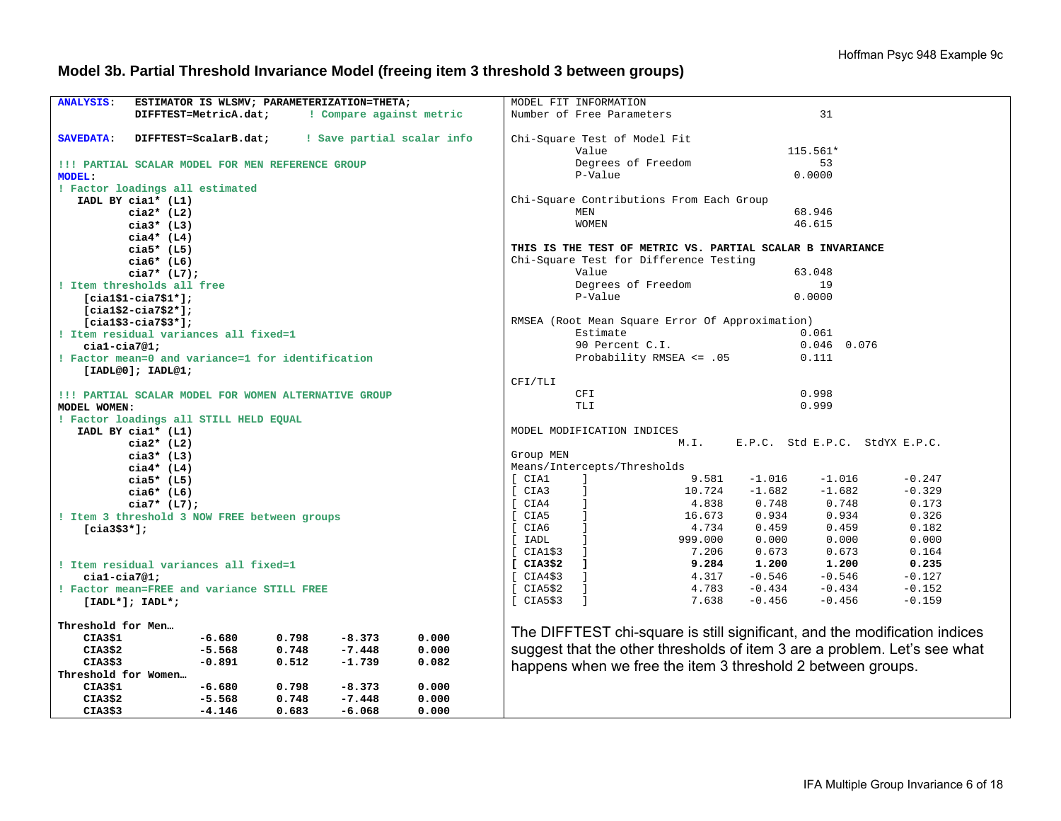# **Model 3b. Partial Threshold Invariance Model (freeing item 3 threshold 3 between groups)**

| <b>ANALYSIS:</b><br>ESTIMATOR IS WLSMV; PARAMETERIZATION=THETA;         | MODEL FIT INFORMATION                                                      |
|-------------------------------------------------------------------------|----------------------------------------------------------------------------|
| ! Compare against metric<br>DIFFTEST=MetricA.dat;                       | Number of Free Parameters<br>31                                            |
|                                                                         |                                                                            |
| DIFFTEST=ScalarB.dat;<br>! Save partial scalar info<br><b>SAVEDATA:</b> | Chi-Square Test of Model Fit                                               |
|                                                                         | Value<br>115.561*                                                          |
| !!! PARTIAL SCALAR MODEL FOR MEN REFERENCE GROUP                        | Degrees of Freedom<br>53                                                   |
| <b>MODEL:</b>                                                           | P-Value<br>0.0000                                                          |
| ! Factor loadings all estimated                                         |                                                                            |
| IADL BY cial* (L1)                                                      | Chi-Square Contributions From Each Group                                   |
| $cia2*$ (L2)                                                            | 68.946<br>MEN                                                              |
| $cia3*$ (L3)                                                            | <b>WOMEN</b><br>46.615                                                     |
| $cia4*$ (L4)                                                            |                                                                            |
| cia5* $(L5)$                                                            | THIS IS THE TEST OF METRIC VS. PARTIAL SCALAR B INVARIANCE                 |
| cia $6*$ (L6)                                                           | Chi-Square Test for Difference Testing                                     |
| $cia7* (L7);$                                                           | Value<br>63.048                                                            |
| ! Item thresholds all free                                              | Degrees of Freedom<br>19                                                   |
|                                                                         | P-Value<br>0.0000                                                          |
| $[cial$1-cia7$1*];$                                                     |                                                                            |
| $[cial$2-ci$3$2*];$                                                     |                                                                            |
| $[cial$3-cia7$3*];$                                                     | RMSEA (Root Mean Square Error Of Approximation)<br>Estimate<br>0.061       |
| ! Item residual variances all fixed=1                                   | $0.046$ 0.076                                                              |
| $cial-cia7@1;$                                                          | 90 Percent C.I.                                                            |
| ! Factor mean=0 and variance=1 for identification                       | Probability RMSEA <= .05<br>0.111                                          |
| [IADL@0]; IADL@1;                                                       |                                                                            |
|                                                                         | CFI/TLI                                                                    |
| !!! PARTIAL SCALAR MODEL FOR WOMEN ALTERNATIVE GROUP                    | 0.998<br><b>CFI</b>                                                        |
| MODEL WOMEN:                                                            | 0.999<br><b>TLI</b>                                                        |
| ! Factor loadings all STILL HELD EQUAL                                  |                                                                            |
| IADL BY cial* (L1)                                                      | MODEL MODIFICATION INDICES                                                 |
| $cia2*$ (L2)                                                            | E.P.C. Std E.P.C. StdYX E.P.C.<br>M.I.                                     |
| $cia3*$ (L3)                                                            | Group MEN                                                                  |
| $cia4*$ (L4)                                                            | Means/Intercepts/Thresholds                                                |
| $cia5*$ (L5)                                                            | [ CIA1<br>9.581<br>$-1.016$<br>$-1.016$<br>$-0.247$<br>$\mathbf{1}$        |
| cia $6*$ (L6)                                                           | $\Box$<br>$-1.682$<br>$-0.329$<br>[ CIA3<br>10.724<br>$-1.682$             |
| $cia7* (L7);$                                                           | 0.748<br>0.173<br>[ CIA4<br>4.838<br>0.748                                 |
| ! Item 3 threshold 3 NOW FREE between groups                            | [ CIA5<br>$\blacksquare$<br>0.934<br>0.934<br>0.326<br>16.673              |
| $[cia3$3*];$                                                            | 0.459<br>[ CIA6<br>4.734<br>0.459<br>0.182                                 |
|                                                                         | [ IADL<br>999.000<br>0.000<br>0.000<br>0.000                               |
|                                                                         | [CIA1\$3]<br>7.206<br>0.673<br>0.673<br>0.164                              |
| ! Item residual variances all fixed=1                                   | [CIA3\$2]<br>$\blacksquare$<br>9.284<br>1.200<br>1.200<br>0.235            |
| $cial-cia7@1;$                                                          | $-0.546$<br>$-0.546$<br>[CIA4\$3]<br>$\blacksquare$<br>4.317<br>$-0.127$   |
| ! Factor mean=FREE and variance STILL FREE                              | $-0.434$<br>$-0.434$<br>[CIA5\$2]<br>$\Box$<br>4.783<br>$-0.152$           |
| $[IADL*]; IADL*;$                                                       | $\Box$<br>7.638<br>$-0.456$<br>$-0.456$<br>[CIA5\$3]<br>$-0.159$           |
|                                                                         |                                                                            |
| Threshold for Men                                                       |                                                                            |
| $-6.680$<br>0.798<br>$-8.373$<br>0.000<br>CIA3\$1                       | The DIFFTEST chi-square is still significant, and the modification indices |
| $-5.568$<br>0.748<br>$-7.448$<br>0.000<br>CIA3\$2                       | suggest that the other thresholds of item 3 are a problem. Let's see what  |
| CIA3\$3<br>$-0.891$<br>0.512<br>$-1.739$<br>0.082                       |                                                                            |
| Threshold for Women                                                     | happens when we free the item 3 threshold 2 between groups.                |
| $-6.680$<br>0.798<br>$-8.373$<br>0.000<br>CIA3\$1                       |                                                                            |
| $-5.568$<br>0.748<br>CIA3\$2<br>$-7.448$<br>0.000                       |                                                                            |
| $-4.146$<br>0.683<br>$-6.068$<br>0.000<br>CIA3\$3                       |                                                                            |
|                                                                         |                                                                            |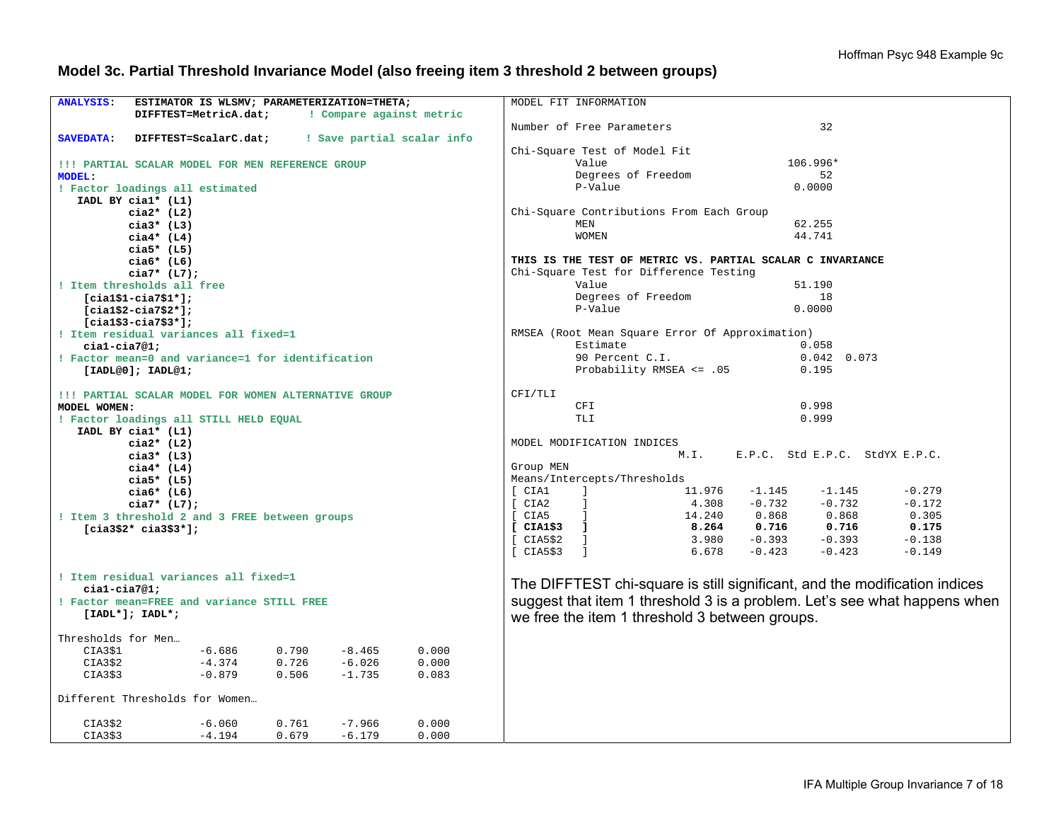### **Model 3c. Partial Threshold Invariance Model (also freeing item 3 threshold 2 between groups)**

| <b>ANALYSIS:</b><br>ESTIMATOR IS WLSMV; PARAMETERIZATION=THETA;      | MODEL FIT INFORMATION                                                                                                 |  |  |  |
|----------------------------------------------------------------------|-----------------------------------------------------------------------------------------------------------------------|--|--|--|
| DIFFTEST=MetricA.dat;<br>! Compare against metric                    |                                                                                                                       |  |  |  |
|                                                                      |                                                                                                                       |  |  |  |
|                                                                      | Number of Free Parameters<br>32                                                                                       |  |  |  |
| DIFFTEST=ScalarC.dat; : Save partial scalar info<br><b>SAVEDATA:</b> |                                                                                                                       |  |  |  |
|                                                                      | Chi-Square Test of Model Fit                                                                                          |  |  |  |
| !!! PARTIAL SCALAR MODEL FOR MEN REFERENCE GROUP                     | Value<br>106.996*                                                                                                     |  |  |  |
| <b>MODEL:</b>                                                        | Degrees of Freedom<br>52                                                                                              |  |  |  |
| ! Factor loadings all estimated                                      | P-Value<br>0.0000                                                                                                     |  |  |  |
| IADL BY cial* (L1)                                                   |                                                                                                                       |  |  |  |
| $cia2*$ (L2)                                                         | Chi-Square Contributions From Each Group                                                                              |  |  |  |
| $cia3*$ (L3)                                                         | <b>MEN</b><br>62.255                                                                                                  |  |  |  |
| $ci$ a4* (L4)                                                        | 44.741<br><b>WOMEN</b>                                                                                                |  |  |  |
| $cia5*$ (L5)                                                         |                                                                                                                       |  |  |  |
| cia $6*$ (L6)                                                        | THIS IS THE TEST OF METRIC VS. PARTIAL SCALAR C INVARIANCE                                                            |  |  |  |
| $cia7* (L7);$                                                        | Chi-Square Test for Difference Testing                                                                                |  |  |  |
| ! Item thresholds all free                                           | Value<br>51.190                                                                                                       |  |  |  |
| $[cial$1-cia7$1*];$                                                  | Degrees of Freedom<br>18                                                                                              |  |  |  |
|                                                                      | P-Value<br>0.0000                                                                                                     |  |  |  |
| $[cia1$2-cia7$2*];$                                                  |                                                                                                                       |  |  |  |
| $[cial$3-cia7$3*]$ ;                                                 |                                                                                                                       |  |  |  |
| ! Item residual variances all fixed=1                                | RMSEA (Root Mean Square Error Of Approximation)                                                                       |  |  |  |
| $cial-cia7@1;$                                                       | Estimate<br>0.058                                                                                                     |  |  |  |
| ! Factor mean=0 and variance=1 for identification                    | 90 Percent C.I.<br>$0.042 \quad 0.073$                                                                                |  |  |  |
| [IADL@0]; IADL@1;                                                    | Probability RMSEA <= .05<br>0.195                                                                                     |  |  |  |
|                                                                      |                                                                                                                       |  |  |  |
| !!! PARTIAL SCALAR MODEL FOR WOMEN ALTERNATIVE GROUP                 | CFI/TLI                                                                                                               |  |  |  |
| MODEL WOMEN:                                                         | CFI<br>0.998                                                                                                          |  |  |  |
| ! Factor loadings all STILL HELD EQUAL                               | <b>TLI</b><br>0.999                                                                                                   |  |  |  |
| IADL BY cial* (L1)                                                   |                                                                                                                       |  |  |  |
| $cia2*$ (L2)                                                         | MODEL MODIFICATION INDICES                                                                                            |  |  |  |
| cia $3*$ (L3)                                                        | M.L.<br>E.P.C. Std E.P.C. StdYX E.P.C.                                                                                |  |  |  |
| $ci$ a4* (L4)                                                        | Group MEN                                                                                                             |  |  |  |
| $cia5*$ (L5)                                                         | Means/Intercepts/Thresholds                                                                                           |  |  |  |
| $cia6*$ (L6)                                                         | [ CIA1<br>$\mathbf{I}$ and $\mathbf{I}$ and $\mathbf{I}$ and $\mathbf{I}$<br>$11.976 - 1.145$<br>$-1.145$<br>$-0.279$ |  |  |  |
| $cia7* (L7);$                                                        | $\mathbf{I}$ and $\mathbf{I}$<br>$4.308 - 0.732$<br>$-0.732$<br>$-0.172$<br>[CIA2]                                    |  |  |  |
| ! Item 3 threshold 2 and 3 FREE between groups                       | 14.240 0.868 0.868<br>$[CHA2]$<br>$[CHA5]$<br>$[CHA1$3]$<br>0.305                                                     |  |  |  |
| $[cia3$2* cia3$3*];$                                                 | 8.264 0.716 0.716<br>0.175                                                                                            |  |  |  |
|                                                                      | $-0.393$<br>$3.980 -0.393$<br>$-0.138$                                                                                |  |  |  |
|                                                                      | [CIAS\$2]<br>$\Box$<br>[CIA5\$3]<br>6.678<br>$-0.423$<br>$-0.423$<br>$-0.149$                                         |  |  |  |
|                                                                      |                                                                                                                       |  |  |  |
| ! Item residual variances all fixed=1                                |                                                                                                                       |  |  |  |
|                                                                      | The DIFFTEST chi-square is still significant, and the modification indices                                            |  |  |  |
| $cial-cia7@1;$                                                       |                                                                                                                       |  |  |  |
| ! Factor mean=FREE and variance STILL FREE                           | suggest that item 1 threshold 3 is a problem. Let's see what happens when                                             |  |  |  |
| $[IADL*]; IADL*;$                                                    | we free the item 1 threshold 3 between groups.                                                                        |  |  |  |
|                                                                      |                                                                                                                       |  |  |  |
| Thresholds for Men                                                   |                                                                                                                       |  |  |  |
| 0.790<br>$-6.686$<br>$-8.465$<br>0.000<br>CIA3\$1                    |                                                                                                                       |  |  |  |
| $-4.374$<br>$-6.026$<br>CIA3\$2<br>0.726<br>0.000                    |                                                                                                                       |  |  |  |
| $-0.879$<br>0.506<br>$-1.735$<br>CIA3\$3<br>0.083                    |                                                                                                                       |  |  |  |
| Different Thresholds for Women                                       |                                                                                                                       |  |  |  |
|                                                                      |                                                                                                                       |  |  |  |
| 0.761<br>$-7.966$<br>CIA3\$2<br>$-6.060$<br>0.000                    |                                                                                                                       |  |  |  |
| 0.679<br>CIA3\$3<br>$-4.194$<br>$-6.179$<br>0.000                    |                                                                                                                       |  |  |  |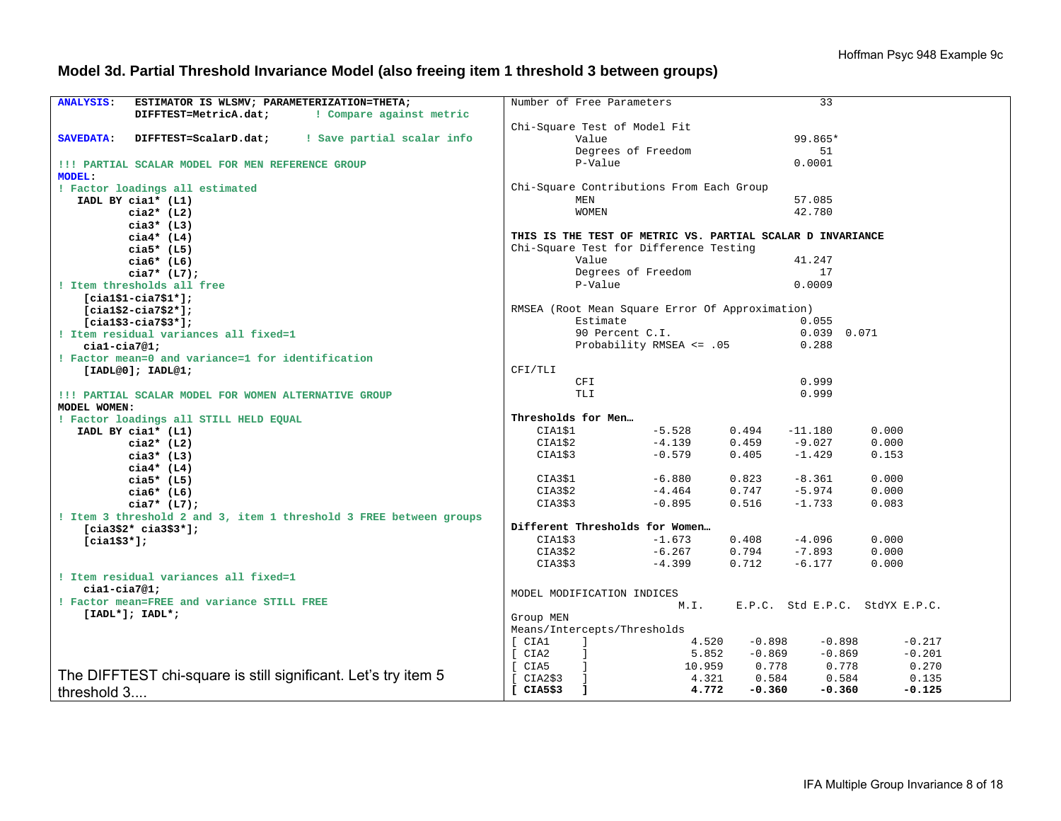# **Model 3d. Partial Threshold Invariance Model (also freeing item 1 threshold 3 between groups)**

| <b>ANALYSIS:</b><br>ESTIMATOR IS WLSMV; PARAMETERIZATION=THETA;         | Number of Free Parameters                                                    | 33                                              |
|-------------------------------------------------------------------------|------------------------------------------------------------------------------|-------------------------------------------------|
| ! Compare against metric<br>DIFFTEST=MetricA.dat;                       |                                                                              |                                                 |
|                                                                         | Chi-Square Test of Model Fit                                                 |                                                 |
| ! Save partial scalar info<br><b>SAVEDATA:</b><br>DIFFTEST=ScalarD.dat; | Value                                                                        | 99.865*                                         |
|                                                                         | Degrees of Freedom                                                           | 51                                              |
| !!! PARTIAL SCALAR MODEL FOR MEN REFERENCE GROUP                        | P-Value                                                                      | 0.0001                                          |
| <b>MODEL:</b>                                                           |                                                                              |                                                 |
| ! Factor loadings all estimated                                         | Chi-Square Contributions From Each Group                                     |                                                 |
| IADL BY cial* (L1)                                                      | MEN                                                                          | 57.085                                          |
| $cia2*$ (L2)                                                            | <b>WOMEN</b>                                                                 | 42.780                                          |
| $cia3*$ (L3)                                                            |                                                                              |                                                 |
| $ci$ a4* (L4)                                                           | THIS IS THE TEST OF METRIC VS. PARTIAL SCALAR D INVARIANCE                   |                                                 |
| $cia5*$ (L5)                                                            | Chi-Square Test for Difference Testing                                       |                                                 |
| $ci$ a6* (L6)                                                           | Value                                                                        | 41.247                                          |
| $cia7* (L7);$                                                           | Degrees of Freedom                                                           | 17                                              |
| ! Item thresholds all free                                              | P-Value                                                                      | 0.0009                                          |
| $[cial$1-cia7$1*];$                                                     |                                                                              |                                                 |
| $[cia1$2-cia7$2*];$                                                     | RMSEA (Root Mean Square Error Of Approximation)                              |                                                 |
| $[cial$3-cia7$3*];$                                                     | Estimate                                                                     | 0.055                                           |
| ! Item residual variances all fixed=1                                   | 90 Percent C.I.                                                              | 0.039 0.071                                     |
| $cial-cia7@1;$                                                          | Probability RMSEA <= .05                                                     | 0.288                                           |
| ! Factor mean=0 and variance=1 for identification                       |                                                                              |                                                 |
| [IADL@0]; IADL@1;                                                       | CFI/TLI                                                                      |                                                 |
|                                                                         | CFI                                                                          | 0.999                                           |
| !!! PARTIAL SCALAR MODEL FOR WOMEN ALTERNATIVE GROUP                    | TLI                                                                          | 0.999                                           |
| MODEL WOMEN:                                                            |                                                                              |                                                 |
| ! Factor loadings all STILL HELD EQUAL                                  | Thresholds for Men                                                           |                                                 |
| IADL BY cial* (L1)                                                      | CIA1\$1<br>$-5.528$                                                          | 0.000<br>0.494<br>$-11.180$                     |
| $cia2*$ (L2)                                                            | $-4.139$<br>CIA1\$2                                                          | $-9.027$<br>0.000<br>0.459                      |
| $cia3*$ (L3)                                                            | CIA1\$3<br>$-0.579$                                                          | 0.405<br>$-1.429$<br>0.153                      |
| $ci$ a4* (L4)                                                           |                                                                              |                                                 |
| $cia5*$ (L5)                                                            | $-6.880$<br>CIA3\$1<br>CIA3\$2<br>$-4.464$                                   | 0.823<br>$-8.361$<br>0.000<br>$-5.974$<br>0.000 |
| $ci$ a $6*$ (L $6$ )                                                    | CIA3\$3<br>$-0.895$                                                          | 0.747<br>0.516<br>$-1.733$<br>0.083             |
| $cia7* (L7);$                                                           |                                                                              |                                                 |
| ! Item 3 threshold 2 and 3, item 1 threshold 3 FREE between groups      | Different Thresholds for Women                                               |                                                 |
| $[cia3$2* cia3$3*];$                                                    | CIAI\$3<br>$-1.673$                                                          | $-4.096$<br>0.408<br>0.000                      |
| $[cia1$3*];$                                                            | $-6.267$<br>CIA3\$2                                                          | 0.794<br>$-7.893$<br>0.000                      |
|                                                                         | CIA3\$3<br>$-4.399$                                                          | 0.712<br>$-6.177$<br>0.000                      |
| ! Item residual variances all fixed=1                                   |                                                                              |                                                 |
| $cial-cia7@1;$                                                          |                                                                              |                                                 |
| ! Factor mean=FREE and variance STILL FREE                              | MODEL MODIFICATION INDICES                                                   |                                                 |
| $[IADL*]; IADL*;$                                                       | M.I.                                                                         | E.P.C. Std E.P.C. StdYX E.P.C.                  |
|                                                                         | Group MEN                                                                    |                                                 |
|                                                                         | Means/Intercepts/Thresholds                                                  |                                                 |
|                                                                         | [ CIA1<br>$\Box$<br>4.520                                                    | $-0.898$<br>$-0.898$<br>$-0.217$                |
|                                                                         | $\int$ CIA2<br>$\mathbf{1}$<br>5.852                                         | $-0.869$<br>$-0.869$<br>$-0.201$                |
| The DIFFTEST chi-square is still significant. Let's try item 5          | [ CIA5<br>10.959<br>$\mathbf{I}$                                             | 0.778<br>0.778<br>0.270                         |
|                                                                         | [CIA2\$3]<br>4.321<br>$\blacksquare$<br>[CIA5\$3]<br>4.772<br>$\blacksquare$ | 0.584<br>0.584<br>0.135<br>$-0.360$             |
| threshold 3                                                             |                                                                              | $-0.360$<br>$-0.125$                            |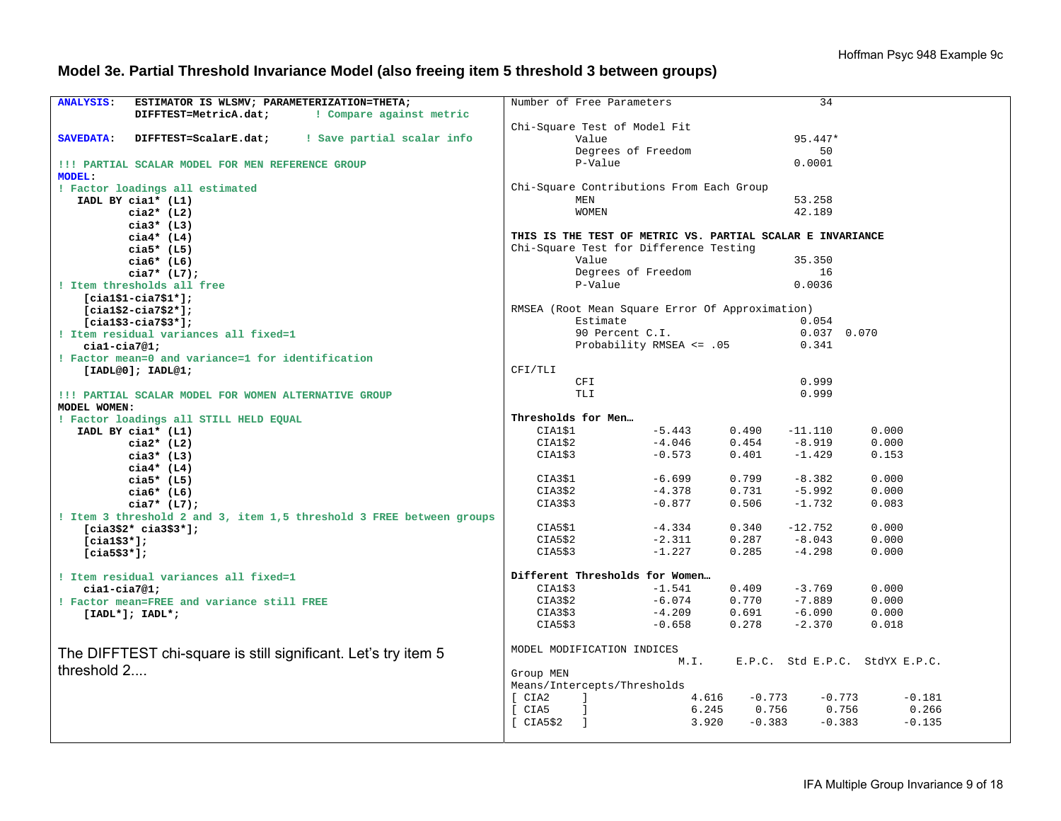# **Model 3e. Partial Threshold Invariance Model (also freeing item 5 threshold 3 between groups)**

| <b>ANALYSIS:</b><br>ESTIMATOR IS WLSMV; PARAMETERIZATION=THETA;      | Number of Free Parameters                                  |                          |          | 34            |                                |
|----------------------------------------------------------------------|------------------------------------------------------------|--------------------------|----------|---------------|--------------------------------|
| DIFFTEST=MetricA.dat;<br>! Compare against metric                    |                                                            |                          |          |               |                                |
|                                                                      |                                                            |                          |          |               |                                |
| ! Save partial scalar info                                           | Chi-Square Test of Model Fit                               |                          |          | 95.447*       |                                |
| <b>SAVEDATA:</b><br>DIFFTEST=ScalarE.dat;                            | Value                                                      |                          |          |               |                                |
|                                                                      |                                                            | Degrees of Freedom       |          | 50            |                                |
| !!! PARTIAL SCALAR MODEL FOR MEN REFERENCE GROUP                     | P-Value                                                    |                          |          | 0.0001        |                                |
| MODEL:                                                               |                                                            |                          |          |               |                                |
| ! Factor loadings all estimated                                      | Chi-Square Contributions From Each Group                   |                          |          |               |                                |
| IADL BY cial* (L1)                                                   | MEN                                                        |                          |          | 53.258        |                                |
| $cia2*$ (L2)                                                         | <b>WOMEN</b>                                               |                          |          | 42.189        |                                |
| $cia3*$ (L3)                                                         |                                                            |                          |          |               |                                |
| $cia4*$ (L4)                                                         | THIS IS THE TEST OF METRIC VS. PARTIAL SCALAR E INVARIANCE |                          |          |               |                                |
| $cia5*$ (L5)                                                         | Chi-Square Test for Difference Testing                     |                          |          |               |                                |
| $cia6*$ (L6)                                                         | Value                                                      |                          |          | 35.350        |                                |
| $cia7* (L7);$                                                        |                                                            | Degrees of Freedom       |          | 16            |                                |
| ! Item thresholds all free                                           | P-Value                                                    |                          |          | 0.0036        |                                |
| $[cial$1-cia7$1*];$                                                  |                                                            |                          |          |               |                                |
| $[cial$2-cia7$2*];$                                                  | RMSEA (Root Mean Square Error Of Approximation)            |                          |          |               |                                |
| $[cial$3-cia7$3*];$                                                  | Estimate                                                   |                          |          | 0.054         |                                |
| ! Item residual variances all fixed=1                                |                                                            | 90 Percent C.I.          |          | $0.037$ 0.070 |                                |
| $cial-cia7@1;$                                                       |                                                            | Probability RMSEA <= .05 |          | 0.341         |                                |
| ! Factor mean=0 and variance=1 for identification                    |                                                            |                          |          |               |                                |
| [IADL@0]; IADL@1;                                                    | CFI/TLI                                                    |                          |          |               |                                |
|                                                                      | CFI                                                        |                          |          | 0.999         |                                |
| !!! PARTIAL SCALAR MODEL FOR WOMEN ALTERNATIVE GROUP                 | <b>TLI</b>                                                 |                          |          | 0.999         |                                |
| MODEL WOMEN:                                                         |                                                            |                          |          |               |                                |
| ! Factor loadings all STILL HELD EQUAL                               | Thresholds for Men                                         |                          |          |               |                                |
| IADL BY cial* (L1)                                                   | CIA1\$1                                                    | $-5.443$                 | 0.490    | $-11.110$     | 0.000                          |
| $cia2*$ (L2)                                                         | CIA1\$2                                                    | $-4.046$                 | 0.454    | $-8.919$      | 0.000                          |
| $cia3*$ (L3)                                                         | CIA1\$3                                                    | $-0.573$                 | 0.401    | $-1.429$      | 0.153                          |
| $ci$ a4* (L4)                                                        |                                                            |                          |          |               |                                |
| $cia5*$ (L5)                                                         | CIA3\$1                                                    | $-6.699$                 | 0.799    | $-8.382$      | 0.000                          |
|                                                                      | CIA3\$2                                                    | $-4.378$                 | 0.731    | $-5.992$      | 0.000                          |
| $cia6*$ (L6)                                                         | CIA3\$3                                                    | $-0.877$                 | 0.506    | $-1.732$      | 0.083                          |
| $cia7* (L7);$                                                        |                                                            |                          |          |               |                                |
| ! Item 3 threshold 2 and 3, item 1,5 threshold 3 FREE between groups | CIA5\$1                                                    | $-4.334$                 | 0.340    | $-12.752$     | 0.000                          |
| $[cia3$2* cia3$3*];$                                                 |                                                            |                          |          | $-8.043$      |                                |
| $[cia1$3*];$                                                         | CIA5\$2                                                    | $-2.311$<br>$-1.227$     | 0.287    | $-4.298$      | 0.000                          |
| $[cia5$3*];$                                                         | CIA5\$3                                                    |                          | 0.285    |               | 0.000                          |
|                                                                      |                                                            |                          |          |               |                                |
| ! Item residual variances all fixed=1                                | Different Thresholds for Women                             |                          |          |               |                                |
| $cial-cia7@1;$                                                       | CIA1\$3                                                    | $-1.541$                 | 0.409    | $-3.769$      | 0.000                          |
| ! Factor mean=FREE and variance still FREE                           | CIA3\$2                                                    | $-6.074$                 | 0.770    | $-7.889$      | 0.000                          |
| $[IADL*]; IADL*;$                                                    | CIA3\$3                                                    | $-4.209$                 | 0.691    | $-6.090$      | 0.000                          |
|                                                                      | CIA5\$3                                                    | $-0.658$                 | 0.278    | $-2.370$      | 0.018                          |
|                                                                      |                                                            |                          |          |               |                                |
| The DIFFTEST chi-square is still significant. Let's try item 5       | MODEL MODIFICATION INDICES                                 |                          |          |               |                                |
| threshold 2                                                          |                                                            | M.I.                     |          |               | E.P.C. Std E.P.C. StdYX E.P.C. |
|                                                                      | Group MEN                                                  |                          |          |               |                                |
|                                                                      | Means/Intercepts/Thresholds                                |                          |          |               |                                |
|                                                                      | [ CIA2<br>$\blacksquare$                                   | 4.616                    | $-0.773$ | $-0.773$      | $-0.181$                       |
|                                                                      | [ CIA5<br>$\Box$                                           | 6.245                    | 0.756    | 0.756         | 0.266                          |
|                                                                      | [CIA5\$2]<br>$\blacksquare$                                | 3.920                    | $-0.383$ | $-0.383$      | $-0.135$                       |
|                                                                      |                                                            |                          |          |               |                                |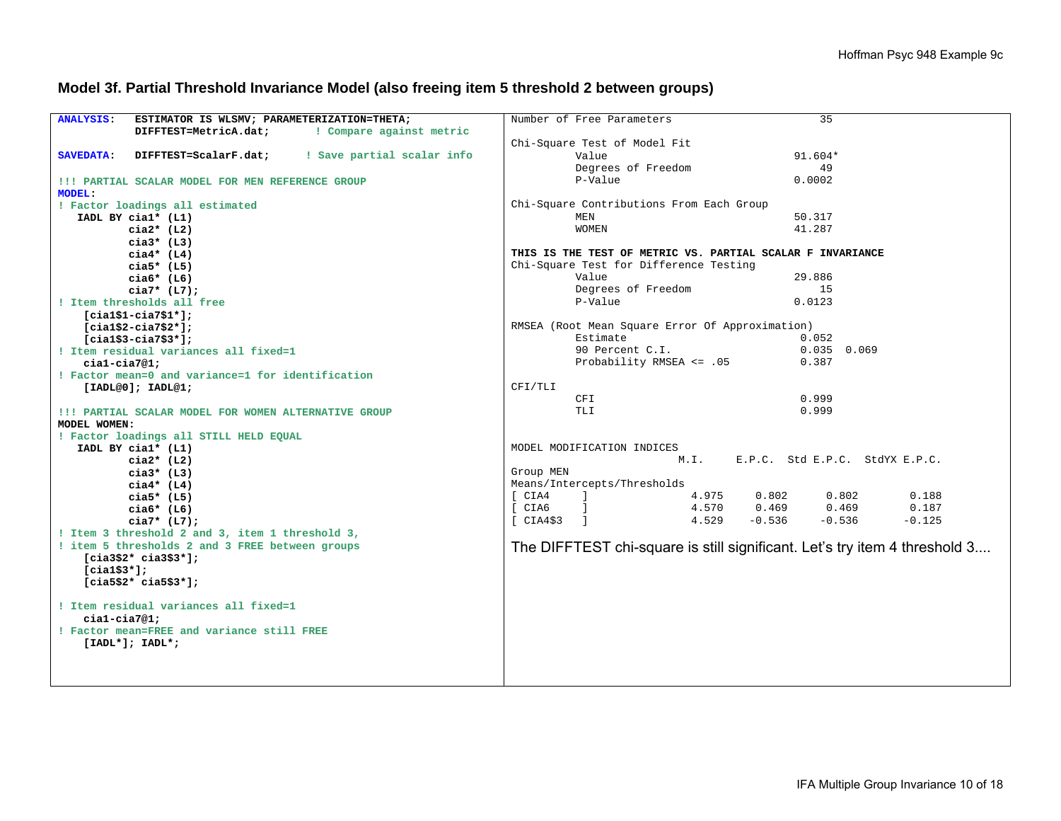### **Model 3f. Partial Threshold Invariance Model (also freeing item 5 threshold 2 between groups)**

| <b>ANALYSIS:</b><br>ESTIMATOR IS WLSMV; PARAMETERIZATION=THETA;         | Number of Free Parameters<br>35                                            |
|-------------------------------------------------------------------------|----------------------------------------------------------------------------|
| ! Compare against metric<br>DIFFTEST=MetricA.dat;                       |                                                                            |
|                                                                         | Chi-Square Test of Model Fit                                               |
| ! Save partial scalar info<br><b>SAVEDATA:</b><br>DIFFTEST=ScalarF.dat; | $91.604*$<br>Value                                                         |
|                                                                         | 49<br>Degrees of Freedom                                                   |
| !!! PARTIAL SCALAR MODEL FOR MEN REFERENCE GROUP                        | P-Value<br>0.0002                                                          |
| <b>MODEL:</b>                                                           |                                                                            |
| ! Factor loadings all estimated                                         | Chi-Square Contributions From Each Group                                   |
| IADL BY cial* (L1)                                                      | MEN<br>50.317                                                              |
| $cia2*$ (L2)                                                            | 41.287<br>WOMEN                                                            |
| $cia3*$ (L3)                                                            |                                                                            |
| $cia4*$ (L4)                                                            | THIS IS THE TEST OF METRIC VS. PARTIAL SCALAR F INVARIANCE                 |
| $cia5*$ (L5)                                                            | Chi-Square Test for Difference Testing                                     |
| $cia6*$ (L6)                                                            | Value<br>29.886                                                            |
| $cia7* (L7);$                                                           | Degrees of Freedom<br>15                                                   |
| ! Item thresholds all free                                              | P-Value<br>0.0123                                                          |
| $[cial$1-cia7$1*];$                                                     |                                                                            |
| $[cial$2-cia7$2*];$                                                     | RMSEA (Root Mean Square Error Of Approximation)                            |
| $[cial$3-cia7$3*];$                                                     | Estimate<br>0.052                                                          |
| ! Item residual variances all fixed=1                                   | 90 Percent C.I.<br>$0.035$ 0.069                                           |
| $cial-cia7@1;$                                                          | Probability RMSEA <= .05<br>0.387                                          |
| ! Factor mean=0 and variance=1 for identification                       |                                                                            |
| [IADL@0]; IADL@1;                                                       | CFI/TLI                                                                    |
|                                                                         | <b>CFI</b><br>0.999                                                        |
| !!! PARTIAL SCALAR MODEL FOR WOMEN ALTERNATIVE GROUP                    | 0.999<br><b>TLI</b>                                                        |
| MODEL WOMEN:                                                            |                                                                            |
| ! Factor loadings all STILL HELD EQUAL                                  |                                                                            |
| IADL BY cial* (L1)                                                      | MODEL MODIFICATION INDICES                                                 |
| $cia2*$ (L2)                                                            | M.I.<br>E.P.C. Std E.P.C. StdYX E.P.C.                                     |
| $cia3*$ (L3)                                                            | Group MEN                                                                  |
| $cia4*$ (L4)                                                            | Means/Intercepts/Thresholds                                                |
| cia5* $(L5)$                                                            | [ CIA4<br>$\sim$ 1<br>4.975<br>0.802<br>0.802<br>0.188                     |
| $cia6*$ (L6)                                                            | 0.469<br>0.469<br>0.187<br>4.570<br>[ CIA6<br>$\blacksquare$               |
| $cia7* (L7);$                                                           | 4.529<br>$-0.536$<br>$-0.536$<br>$-0.125$<br>[CIA4\$3]                     |
| ! Item 3 threshold 2 and 3, item 1 threshold 3,                         |                                                                            |
| ! item 5 thresholds 2 and 3 FREE between groups                         | The DIFFTEST chi-square is still significant. Let's try item 4 threshold 3 |
| $[cia3$2* cia3$3*];$                                                    |                                                                            |
| $[cia1$3*];$                                                            |                                                                            |
| $[cia5$2* cia5$3*];$                                                    |                                                                            |
|                                                                         |                                                                            |
| ! Item residual variances all fixed=1                                   |                                                                            |
| $cial-cia7@1;$                                                          |                                                                            |
| ! Factor mean=FREE and variance still FREE                              |                                                                            |
| $[IADL*]; IADL*;$                                                       |                                                                            |
|                                                                         |                                                                            |
|                                                                         |                                                                            |
|                                                                         |                                                                            |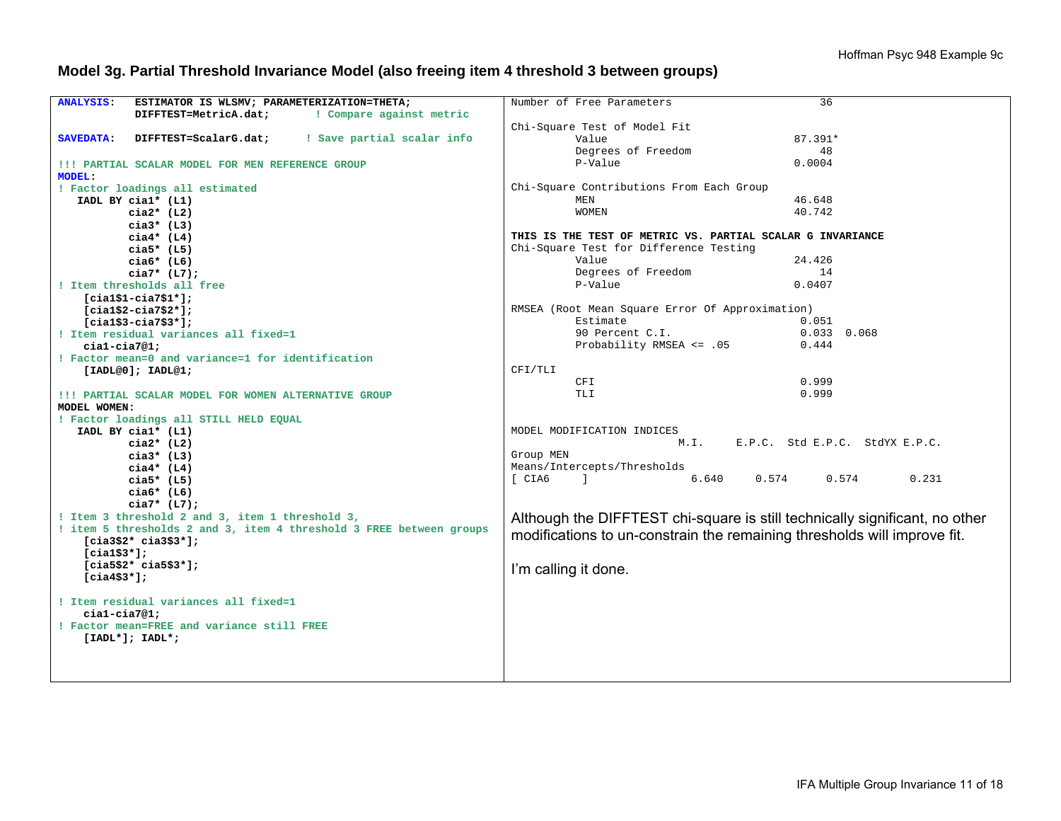# **Model 3g. Partial Threshold Invariance Model (also freeing item 4 threshold 3 between groups)**

| ESTIMATOR IS WLSMV; PARAMETERIZATION=THETA;<br><b>ANALYSIS:</b>         | Number of Free Parameters<br>36                                             |
|-------------------------------------------------------------------------|-----------------------------------------------------------------------------|
| DIFFTEST=MetricA.dat;<br>! Compare against metric                       |                                                                             |
|                                                                         | Chi-Square Test of Model Fit                                                |
| ! Save partial scalar info<br><b>SAVEDATA:</b><br>DIFFTEST=ScalarG.dat; | 87.391*<br>Value                                                            |
|                                                                         | Degrees of Freedom<br>48                                                    |
| !!! PARTIAL SCALAR MODEL FOR MEN REFERENCE GROUP                        | P-Value<br>0.0004                                                           |
| <b>MODEL:</b>                                                           |                                                                             |
| ! Factor loadings all estimated                                         | Chi-Square Contributions From Each Group                                    |
| IADL BY cial* (L1)                                                      | 46.648<br>MEN                                                               |
| $cia2*$ (L2)                                                            | 40.742<br><b>WOMEN</b>                                                      |
| $cia3*$ (L3)                                                            |                                                                             |
| $ci$ a4* (L4)                                                           | THIS IS THE TEST OF METRIC VS. PARTIAL SCALAR G INVARIANCE                  |
| cia5* $(L5)$                                                            | Chi-Square Test for Difference Testing                                      |
| cia $6*$ (L6)                                                           | Value<br>24.426                                                             |
|                                                                         | Degrees of Freedom<br>14                                                    |
| $cia7* (L7);$                                                           | P-Value<br>0.0407                                                           |
| ! Item thresholds all free                                              |                                                                             |
| $[cial$1-cia7$1*];$                                                     |                                                                             |
| $[cia1$2-cia7$2*];$                                                     | RMSEA (Root Mean Square Error Of Approximation)                             |
| $[cial$3-cia7$3*];$                                                     | Estimate<br>0.051                                                           |
| ! Item residual variances all fixed=1                                   | 90 Percent C.I.<br>$0.033$ $0.068$                                          |
| $cial-cia7@1;$                                                          | Probability RMSEA <= .05<br>0.444                                           |
| ! Factor mean=0 and variance=1 for identification                       |                                                                             |
| [IADL@0]; IADL@1;                                                       | CFI/TLI                                                                     |
|                                                                         | 0.999<br>CFI                                                                |
| !!! PARTIAL SCALAR MODEL FOR WOMEN ALTERNATIVE GROUP                    | 0.999<br>TLI                                                                |
| MODEL WOMEN:                                                            |                                                                             |
| ! Factor loadings all STILL HELD EQUAL                                  |                                                                             |
| IADL BY cial* (L1)                                                      | MODEL MODIFICATION INDICES                                                  |
| cia $2*$ (L2)                                                           | E.P.C. Std E.P.C. StdYX E.P.C.<br>M. I.                                     |
| cia3* $(L3)$                                                            | Group MEN                                                                   |
| $cia4*$ (L4)                                                            | Means/Intercepts/Thresholds                                                 |
| cia5* $(L5)$                                                            | 6.640<br>$0.574$ 0.574<br>0.231<br>[ CIA6<br>$\sim$ 1.000 $\sim$            |
| $ciab*$ (L6)                                                            |                                                                             |
| $cia7* (L7);$                                                           |                                                                             |
| ! Item 3 threshold 2 and 3, item 1 threshold 3,                         | Although the DIFFTEST chi-square is still technically significant, no other |
| ! item 5 thresholds 2 and 3, item 4 threshold 3 FREE between groups     |                                                                             |
| $[cia3$2* cia3$3*];$                                                    | modifications to un-constrain the remaining thresholds will improve fit.    |
| $[cia1$3*];$                                                            |                                                                             |
| $[cia5$2* cia5$3*];$                                                    |                                                                             |
| $[cia4$3*];$                                                            | I'm calling it done.                                                        |
|                                                                         |                                                                             |
| ! Item residual variances all fixed=1                                   |                                                                             |
| $cial-cia7@1;$                                                          |                                                                             |
| ! Factor mean=FREE and variance still FREE                              |                                                                             |
| $[IADL*]; IADL*;$                                                       |                                                                             |
|                                                                         |                                                                             |
|                                                                         |                                                                             |
|                                                                         |                                                                             |
|                                                                         |                                                                             |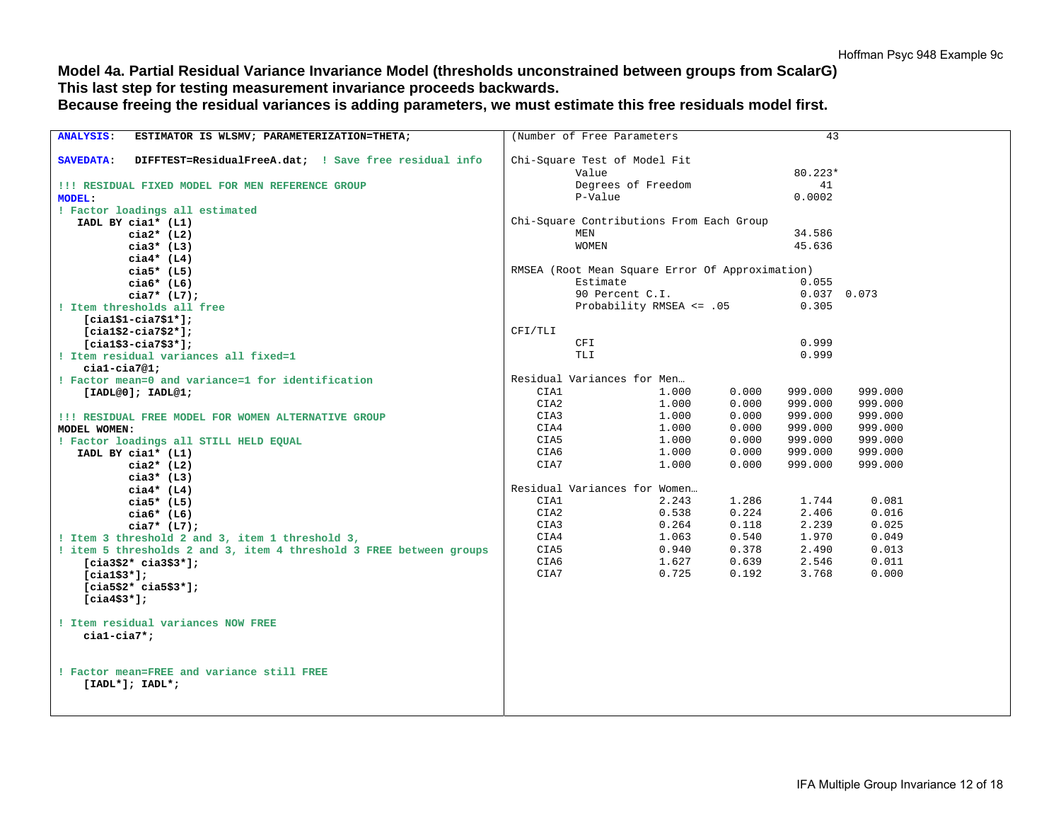# **Model 4a. Partial Residual Variance Invariance Model (thresholds unconstrained between groups from ScalarG) This last step for testing measurement invariance proceeds backwards.**

**Because freeing the residual variances is adding parameters, we must estimate this free residuals model first.** 

| ANALYSIS: ESTIMATOR IS WLSMV; PARAMETERIZATION=THETA;                     | (Number of Free Parameters                      |                          |                | 43                     |                |  |
|---------------------------------------------------------------------------|-------------------------------------------------|--------------------------|----------------|------------------------|----------------|--|
| DIFFTEST=ResidualFreeA.dat; ! Save free residual info<br><b>SAVEDATA:</b> | Chi-Square Test of Model Fit                    |                          |                |                        |                |  |
|                                                                           | Value                                           |                          |                | $80.223*$              |                |  |
| !!! RESIDUAL FIXED MODEL FOR MEN REFERENCE GROUP                          |                                                 | Degrees of Freedom       |                | 41                     |                |  |
| <b>MODEL:</b>                                                             | P-Value                                         |                          | 0.0002         |                        |                |  |
| ! Factor loadings all estimated                                           |                                                 |                          |                |                        |                |  |
| IADL BY cial* (L1)                                                        | Chi-Square Contributions From Each Group        |                          |                |                        |                |  |
| $cia2*$ (L2)                                                              | <b>MEN</b>                                      |                          | 34.586         |                        |                |  |
| cia3* $(L3)$                                                              | <b>WOMEN</b>                                    |                          | 45.636         |                        |                |  |
| $cia4*$ (L4)                                                              |                                                 |                          |                |                        |                |  |
| $cia5*$ (L5)                                                              | RMSEA (Root Mean Square Error Of Approximation) |                          |                |                        |                |  |
| $cia6*$ (L6)                                                              | Estimate                                        |                          |                | 0.055                  |                |  |
| $cia7* (L7);$                                                             |                                                 | 90 Percent C.I.          |                | $0.037$ 0.073<br>0.305 |                |  |
| ! Item thresholds all free                                                |                                                 | Probability RMSEA <= .05 |                |                        |                |  |
| $[cial$1-cia7$1*];$<br>$[cial$2-cia7$2*];$                                | CFI/TLI                                         |                          |                |                        |                |  |
| $[cial$3-ci$3$3"].$                                                       | CFI                                             |                          |                | 0.999                  |                |  |
| ! Item residual variances all fixed=1                                     | TLI                                             |                          |                | 0.999                  |                |  |
| $cial-cia7@1;$                                                            |                                                 |                          |                |                        |                |  |
| ! Factor mean=0 and variance=1 for identification                         | Residual Variances for Men                      |                          |                |                        |                |  |
| [IADL@0]; IADL@1;                                                         | CIA1                                            | 1.000                    | 0.000          | 999.000                | 999.000        |  |
|                                                                           | CIA2                                            | 1.000                    | 0.000          | 999.000                | 999.000        |  |
| !!! RESIDUAL FREE MODEL FOR WOMEN ALTERNATIVE GROUP                       | CIA3                                            | 1.000                    | 0.000          | 999.000                | 999.000        |  |
| MODEL WOMEN:                                                              | CIA4                                            | 1.000                    | 0.000          | 999.000                | 999.000        |  |
| ! Factor loadings all STILL HELD EQUAL                                    | CIA5                                            | 1.000                    | 0.000          | 999.000                | 999.000        |  |
| IADL BY cial* (L1)                                                        | CIA6                                            | 1.000                    | 0.000          | 999.000                | 999.000        |  |
| $cia2*$ (L2)                                                              | CIA7                                            | 1.000                    | 0.000          | 999.000                | 999.000        |  |
| cia3* $(L3)$                                                              |                                                 |                          |                |                        |                |  |
| $cia4*$ (L4)                                                              | Residual Variances for Women                    |                          |                |                        |                |  |
| $cia5*$ (L5)                                                              | CIA1<br>CIA2                                    | 2.243<br>0.538           | 1.286<br>0.224 | 1.744<br>2.406         | 0.081<br>0.016 |  |
| $cia6*$ (L6)                                                              | CIA3                                            | 0.264                    | 0.118          | 2.239                  | 0.025          |  |
| $cia7* (L7);$<br>! Item 3 threshold 2 and 3, item 1 threshold 3,          | CIA4                                            | 1.063                    | 0.540          | 1.970                  | 0.049          |  |
| ! item 5 thresholds 2 and 3, item 4 threshold 3 FREE between groups       | CIA5                                            | 0.940                    | 0.378          | 2.490                  | 0.013          |  |
| $[cia3$2* cia3$3*];$                                                      | CIA6                                            | 1.627                    | 0.639          | 2.546                  | 0.011          |  |
| $[cia1$3*];$                                                              | CIA7                                            | 0.725                    | 0.192          | 3.768                  | 0.000          |  |
| $[cia5$2* cia5$3*];$                                                      |                                                 |                          |                |                        |                |  |
| $[cia4$3*];$                                                              |                                                 |                          |                |                        |                |  |
|                                                                           |                                                 |                          |                |                        |                |  |
| ! Item residual variances NOW FREE                                        |                                                 |                          |                |                        |                |  |
| $cial-cia7$                                                               |                                                 |                          |                |                        |                |  |
|                                                                           |                                                 |                          |                |                        |                |  |
|                                                                           |                                                 |                          |                |                        |                |  |
| ! Factor mean=FREE and variance still FREE                                |                                                 |                          |                |                        |                |  |
| $[IADL*]; IADL*;$                                                         |                                                 |                          |                |                        |                |  |
|                                                                           |                                                 |                          |                |                        |                |  |
|                                                                           |                                                 |                          |                |                        |                |  |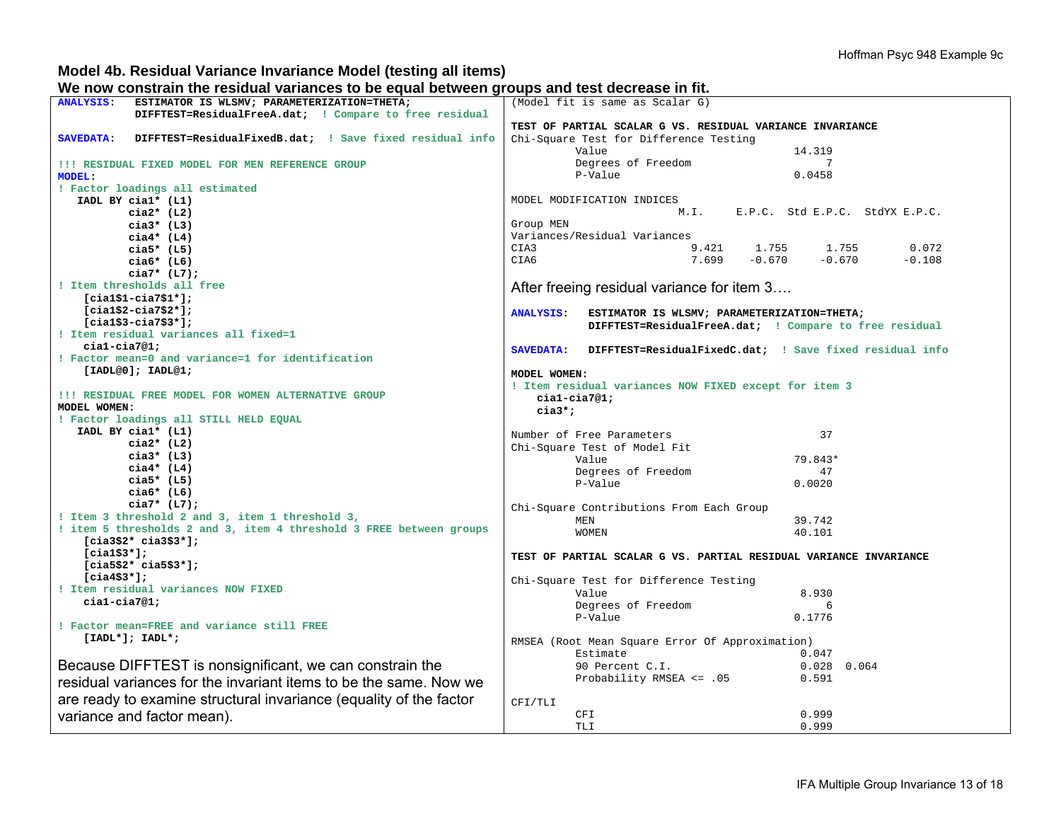### **Model 4b. Residual Variance Invariance Model (testing all items)**

**We now constrain the residual variances to be equal between groups and test decrease in fit.** 

|                                                                             | uu: wot:: oo:: g: oupo u::u toot uoo: ouoo ::: :::                            |
|-----------------------------------------------------------------------------|-------------------------------------------------------------------------------|
| ANALYSIS: ESTIMATOR IS WLSMV; PARAMETERIZATION=THETA;                       | (Model fit is same as Scalar G)                                               |
| DIFFTEST=ResidualFreeA.dat; ! Compare to free residual                      |                                                                               |
|                                                                             | TEST OF PARTIAL SCALAR G VS. RESIDUAL VARIANCE INVARIANCE                     |
| <b>SAVEDATA:</b><br>DIFFTEST=ResidualFixedB.dat; ! Save fixed residual info | Chi-Square Test for Difference Testing                                        |
|                                                                             | Value<br>14.319                                                               |
| !!! RESIDUAL FIXED MODEL FOR MEN REFERENCE GROUP                            | Degrees of Freedom<br>-7                                                      |
| <b>MODEL:</b>                                                               | P-Value<br>0.0458                                                             |
| ! Factor loadings all estimated                                             |                                                                               |
|                                                                             | MODEL MODIFICATION INDICES                                                    |
| IADL BY cial* (L1)                                                          |                                                                               |
| cia $2*$ (L2)                                                               | M.I. E.P.C. Std E.P.C. StdYX E.P.C.                                           |
| $cia3*$ (L3)                                                                | Group MEN                                                                     |
| $cia4*$ (L4)                                                                | Variances/Residual Variances                                                  |
| cia5* $(L5)$                                                                | CIA3<br>$9.421$ $1.755$ $1.755$ $0.072$<br>$7.699$ $-0.670$ $-0.670$ $-0.108$ |
| cia $6*$ (L6)                                                               | CIA6                                                                          |
| $cia7* (L7);$                                                               |                                                                               |
| ! Item thresholds all free                                                  | After freeing residual variance for item 3                                    |
|                                                                             |                                                                               |
| $[cial$1-cia7$1*];$                                                         |                                                                               |
| $[cial$2-cia7$2*];$                                                         | ANALYSIS: ESTIMATOR IS WLSMV; PARAMETERIZATION=THETA;                         |
| $[cial$3-cia7$3*]$ ;                                                        | DIFFTEST=ResidualFreeA.dat; ! Compare to free residual                        |
| ! Item residual variances all fixed=1                                       |                                                                               |
| $cial-cia7@1;$                                                              | SAVEDATA: DIFFTEST=ResidualFixedC.dat; ! Save fixed residual info             |
| ! Factor mean=0 and variance=1 for identification                           |                                                                               |
| [IADL@0]; IADL@1;                                                           | MODEL WOMEN:                                                                  |
|                                                                             |                                                                               |
| !!! RESIDUAL FREE MODEL FOR WOMEN ALTERNATIVE GROUP                         | ! Item residual variances NOW FIXED except for item 3                         |
| MODEL WOMEN:                                                                | $cial-cia7@1;$                                                                |
|                                                                             | $cia3*$ ;                                                                     |
| ! Factor loadings all STILL HELD EQUAL                                      |                                                                               |
| IADL BY cial* (L1)                                                          | Number of Free Parameters<br>37                                               |
| $cia2*$ (L2)                                                                | Chi-Square Test of Model Fit                                                  |
| cia3* $(L3)$                                                                | 79.843*<br>Value                                                              |
| $ci$ a4* (L4)                                                               | Degrees of Freedom<br>47                                                      |
| $cia5*$ (L5)                                                                | P-Value<br>0.0020                                                             |
| cia $6*$ (L6)                                                               |                                                                               |
| $cia7* (L7);$                                                               |                                                                               |
| ! Item 3 threshold 2 and 3, item 1 threshold 3,                             | Chi-Square Contributions From Each Group                                      |
| ! item 5 thresholds 2 and 3, item 4 threshold 3 FREE between groups         | MEN<br>39.742                                                                 |
|                                                                             | 40.101<br>WOMEN                                                               |
| $[cia3$2* cia3$3*];$                                                        |                                                                               |
| $[cia1$3*];$                                                                | TEST OF PARTIAL SCALAR G VS. PARTIAL RESIDUAL VARIANCE INVARIANCE             |
| $[cia5$2* cia5$3*];$                                                        |                                                                               |
| [ $cia4$3*$ ];                                                              | Chi-Square Test for Difference Testing                                        |
| ! Item residual variances NOW FIXED                                         | Value<br>8.930                                                                |
| $cial-cia7@1;$                                                              | Degrees of Freedom<br>6                                                       |
|                                                                             | P-Value<br>0.1776                                                             |
| ! Factor mean=FREE and variance still FREE                                  |                                                                               |
| $[IADL*]; IADL*;$                                                           |                                                                               |
|                                                                             | RMSEA (Root Mean Square Error Of Approximation)                               |
|                                                                             | Estimate<br>0.047                                                             |
| Because DIFFTEST is nonsignificant, we can constrain the                    | 90 Percent C.I.<br>Probability RMSEA <= .05<br>$0.028$ 0.064                  |
| residual variances for the invariant items to be the same. Now we           | 0.591                                                                         |
|                                                                             |                                                                               |
| are ready to examine structural invariance (equality of the factor          | CFI/TLI                                                                       |
|                                                                             | 0.999<br>CFI                                                                  |
| variance and factor mean).                                                  | 0.999<br>TLI                                                                  |
|                                                                             |                                                                               |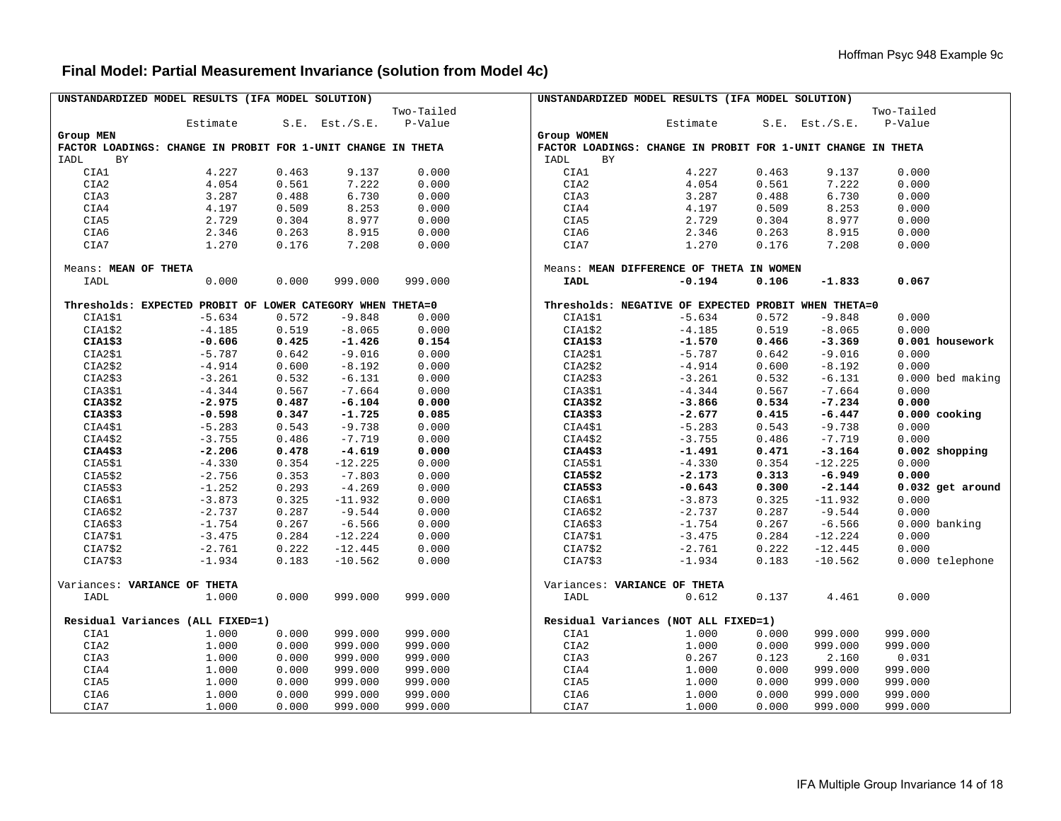# **Final Model: Partial Measurement Invariance (solution from Model 4c)**

| UNSTANDARDIZED MODEL RESULTS (IFA MODEL SOLUTION)            |                                                            |       |                     |            | UNSTANDARDIZED MODEL RESULTS (IFA MODEL SOLUTION)    |                                                              |       |                     |                  |
|--------------------------------------------------------------|------------------------------------------------------------|-------|---------------------|------------|------------------------------------------------------|--------------------------------------------------------------|-------|---------------------|------------------|
|                                                              |                                                            |       |                     | Two-Tailed |                                                      |                                                              |       |                     | Two-Tailed       |
|                                                              | Estimate                                                   |       | $S.E.$ Est./ $S.E.$ | P-Value    |                                                      | Estimate                                                     |       | $S.E.$ Est./ $S.E.$ | P-Value          |
| Group MEN                                                    |                                                            |       |                     |            | Group WOMEN                                          |                                                              |       |                     |                  |
| FACTOR LOADINGS: CHANGE IN PROBIT FOR 1-UNIT CHANGE IN THETA |                                                            |       |                     |            |                                                      | FACTOR LOADINGS: CHANGE IN PROBIT FOR 1-UNIT CHANGE IN THETA |       |                     |                  |
| IADL<br>BY                                                   |                                                            |       |                     |            | IADL<br>BY                                           |                                                              |       |                     |                  |
| CIA1                                                         | 4.227                                                      | 0.463 | 9.137               | 0.000      | CIA1                                                 | 4.227                                                        | 0.463 | 9.137               | 0.000            |
| CIA2                                                         | 4.054                                                      | 0.561 | 7.222               | 0.000      | CIA2                                                 | 4.054                                                        | 0.561 | 7.222               | 0.000            |
| CIA3                                                         | 3.287                                                      | 0.488 | 6.730               | 0.000      | CIA3                                                 | 3.287                                                        | 0.488 | 6.730               | 0.000            |
| CIA4                                                         | 4.197                                                      | 0.509 | 8.253               | 0.000      | CIA4                                                 | 4.197                                                        | 0.509 | 8.253               | 0.000            |
| CIA5                                                         | 2.729                                                      | 0.304 | 8.977               | 0.000      | CIA5                                                 | 2.729                                                        | 0.304 | 8.977               | 0.000            |
| CIA6                                                         | 2.346                                                      | 0.263 | 8.915               | 0.000      | CIA6                                                 | 2.346                                                        | 0.263 | 8.915               | 0.000            |
| CIA7                                                         | 1.270                                                      | 0.176 | 7.208               | 0.000      | CIA7                                                 | 1.270                                                        | 0.176 | 7.208               | 0.000            |
|                                                              |                                                            |       |                     |            |                                                      |                                                              |       |                     |                  |
| Means: MEAN OF THETA                                         |                                                            |       |                     |            | Means: MEAN DIFFERENCE OF THETA IN WOMEN             |                                                              |       |                     |                  |
| IADL                                                         | 0.000                                                      | 0.000 | 999.000             | 999.000    | <b>IADL</b>                                          | $-0.194$                                                     | 0.106 | $-1.833$            | 0.067            |
|                                                              |                                                            |       |                     |            |                                                      |                                                              |       |                     |                  |
|                                                              | Thresholds: EXPECTED PROBIT OF LOWER CATEGORY WHEN THETA=0 |       |                     |            | Thresholds: NEGATIVE OF EXPECTED PROBIT WHEN THETA=0 |                                                              |       |                     |                  |
| CIA1\$1                                                      | $-5.634$                                                   | 0.572 | $-9.848$            | 0.000      | CIA1\$1                                              | $-5.634$                                                     | 0.572 | $-9.848$            | 0.000            |
| CIA1\$2                                                      | $-4.185$                                                   | 0.519 | $-8.065$            | 0.000      | CIA1\$2                                              | $-4.185$                                                     | 0.519 | $-8.065$            | 0.000            |
| CIA1\$3                                                      | $-0.606$                                                   | 0.425 | $-1.426$            | 0.154      | CIA1\$3                                              | $-1.570$                                                     | 0.466 | $-3.369$            | 0.001 housework  |
| CIA2\$1                                                      | $-5.787$                                                   | 0.642 | $-9.016$            | 0.000      | CIA2\$1                                              | $-5.787$                                                     | 0.642 | $-9.016$            | 0.000            |
| CIA2\$2                                                      | $-4.914$                                                   | 0.600 | $-8.192$            | 0.000      | CIA2\$2                                              | $-4.914$                                                     | 0.600 | $-8.192$            | 0.000            |
| CIA2\$3                                                      | $-3.261$                                                   | 0.532 | $-6.131$            | 0.000      | CIA2\$3                                              | $-3.261$                                                     | 0.532 | $-6.131$            | 0.000 bed making |
| CIA3\$1                                                      | $-4.344$                                                   | 0.567 | $-7.664$            | 0.000      | CIA3\$1                                              | $-4.344$                                                     | 0.567 | $-7.664$            | 0.000            |
| CIA3\$2                                                      | $-2.975$                                                   | 0.487 | $-6.104$            | 0.000      | CIA3\$2                                              | $-3.866$                                                     | 0.534 | $-7.234$            | 0.000            |
| CIA3\$3                                                      | $-0.598$                                                   | 0.347 | $-1.725$            | 0.085      | CIA3\$3                                              | $-2.677$                                                     | 0.415 | $-6.447$            | 0.000 cooking    |
|                                                              |                                                            | 0.543 | $-9.738$            |            |                                                      |                                                              | 0.543 |                     |                  |
| CIA4\$1                                                      | $-5.283$                                                   |       |                     | 0.000      | CIA4\$1                                              | $-5.283$                                                     |       | $-9.738$            | 0.000<br>0.000   |
| CIA4\$2                                                      | $-3.755$                                                   | 0.486 | $-7.719$            | 0.000      | CIA4\$2                                              | $-3.755$                                                     | 0.486 | $-7.719$            | 0.002 shopping   |
| CIA4\$3                                                      | $-2.206$                                                   | 0.478 | $-4.619$            | 0.000      | CIA4\$3                                              | $-1.491$                                                     | 0.471 | $-3.164$            |                  |
| CIA5\$1                                                      | $-4.330$                                                   | 0.354 | $-12.225$           | 0.000      | CIA5\$1                                              | $-4.330$                                                     | 0.354 | $-12.225$           | 0.000            |
| CIA5\$2                                                      | $-2.756$                                                   | 0.353 | $-7.803$            | 0.000      | CIA5\$2                                              | $-2.173$                                                     | 0.313 | $-6.949$            | 0.000            |
| CIA5\$3                                                      | $-1.252$                                                   | 0.293 | $-4.269$            | 0.000      | CIA5\$3                                              | $-0.643$                                                     | 0.300 | $-2.144$            | 0.032 get around |
| CIA6\$1                                                      | $-3.873$                                                   | 0.325 | $-11.932$           | 0.000      | CIA6\$1                                              | $-3.873$                                                     | 0.325 | $-11.932$           | 0.000            |
| CIA6\$2                                                      | $-2.737$                                                   | 0.287 | $-9.544$            | 0.000      | CIA6\$2                                              | $-2.737$                                                     | 0.287 | $-9.544$            | 0.000            |
| CIA6\$3                                                      | $-1.754$                                                   | 0.267 | $-6.566$            | 0.000      | CIA6\$3                                              | $-1.754$                                                     | 0.267 | $-6.566$            | 0.000 banking    |
| CIA7\$1                                                      | $-3.475$                                                   | 0.284 | $-12.224$           | 0.000      | CIA7\$1                                              | $-3.475$                                                     | 0.284 | $-12.224$           | 0.000            |
| CIA7\$2                                                      | $-2.761$                                                   | 0.222 | $-12.445$           | 0.000      | CIA7\$2                                              | $-2.761$                                                     | 0.222 | $-12.445$           | 0.000            |
| CIA7\$3                                                      | $-1.934$                                                   | 0.183 | $-10.562$           | 0.000      | CIA7\$3                                              | $-1.934$                                                     | 0.183 | $-10.562$           | 0.000 telephone  |
|                                                              |                                                            |       |                     |            |                                                      |                                                              |       |                     |                  |
| Variances: VARIANCE OF THETA                                 |                                                            |       |                     |            | Variances: VARIANCE OF THETA                         |                                                              |       |                     |                  |
| IADL                                                         | 1.000                                                      | 0.000 | 999.000             | 999.000    | IADL                                                 | 0.612                                                        | 0.137 | 4.461               | 0.000            |
|                                                              |                                                            |       |                     |            |                                                      |                                                              |       |                     |                  |
|                                                              | Residual Variances (ALL FIXED=1)                           |       |                     |            | Residual Variances (NOT ALL FIXED=1)                 |                                                              |       |                     |                  |
| CIA1                                                         | 1.000                                                      | 0.000 | 999.000             | 999.000    | CIA1                                                 | 1.000                                                        | 0.000 | 999.000             | 999.000          |
| CIA2                                                         | 1.000                                                      | 0.000 | 999.000             | 999.000    | CIA2                                                 | 1.000                                                        | 0.000 | 999.000             | 999.000          |
| CIA3                                                         | 1.000                                                      | 0.000 | 999.000             | 999.000    | CIA3                                                 | 0.267                                                        | 0.123 | 2.160               | 0.031            |
| CIA4                                                         | 1.000                                                      | 0.000 | 999.000             | 999.000    | CIA4                                                 | 1.000                                                        | 0.000 | 999.000             | 999.000          |
| CIA5                                                         | 1.000                                                      | 0.000 | 999.000             | 999.000    | CIA5                                                 | 1.000                                                        | 0.000 | 999.000             | 999.000          |
| CIA6                                                         | 1.000                                                      | 0.000 | 999.000             | 999.000    | CIA6                                                 | 1.000                                                        | 0.000 | 999.000             | 999.000          |
| CIA7                                                         | 1.000                                                      | 0.000 | 999.000             | 999.000    | CIA7                                                 | 1.000                                                        | 0.000 | 999.000             | 999.000          |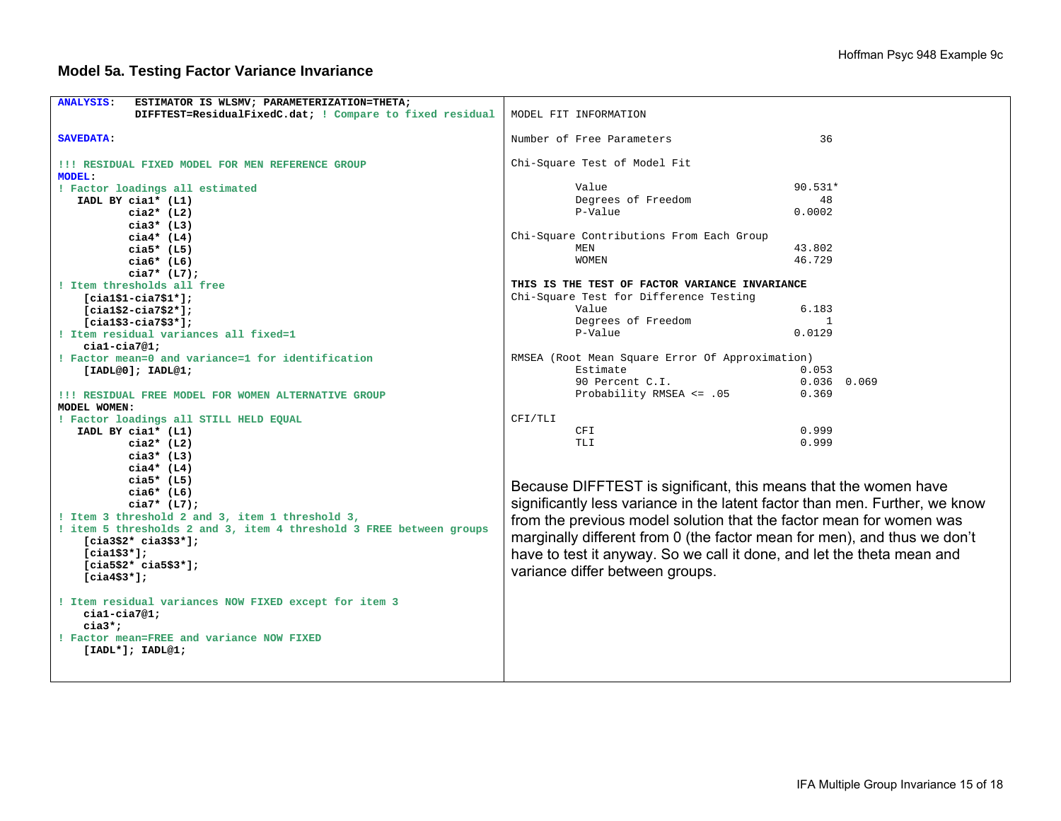| <b>ANALYSIS:</b><br>ESTIMATOR IS WLSMV; PARAMETERIZATION=THETA;     |                                                                             |               |  |  |
|---------------------------------------------------------------------|-----------------------------------------------------------------------------|---------------|--|--|
| DIFFTEST=ResidualFixedC.dat; ! Compare to fixed residual            | MODEL FIT INFORMATION                                                       |               |  |  |
|                                                                     |                                                                             |               |  |  |
| <b>SAVEDATA:</b>                                                    | Number of Free Parameters                                                   | 36            |  |  |
|                                                                     |                                                                             |               |  |  |
| !!! RESIDUAL FIXED MODEL FOR MEN REFERENCE GROUP                    | Chi-Square Test of Model Fit                                                |               |  |  |
| <b>MODEL:</b>                                                       |                                                                             |               |  |  |
| ! Factor loadings all estimated                                     | Value                                                                       | $90.531*$     |  |  |
| IADL BY cial* (L1)                                                  | Degrees of Freedom                                                          | 48            |  |  |
| cia $2*$ (L2)                                                       | P-Value                                                                     | 0.0002        |  |  |
| $cia3*$ (L3)                                                        |                                                                             |               |  |  |
| $ci$ a4* (L4)                                                       | Chi-Square Contributions From Each Group                                    |               |  |  |
| $cia5*$ (L5)                                                        | MEN                                                                         | 43.802        |  |  |
| $cia6*$ (L6)                                                        | <b>WOMEN</b>                                                                | 46.729        |  |  |
| $cia7*$ (L7);                                                       |                                                                             |               |  |  |
| ! Item thresholds all free                                          | THIS IS THE TEST OF FACTOR VARIANCE INVARIANCE                              |               |  |  |
| $[cial$1-cia7$1*];$                                                 | Chi-Square Test for Difference Testing                                      |               |  |  |
| $[cial$2-cia7$2*];$                                                 | Value                                                                       | 6.183         |  |  |
| $[cial$3-cia7$3*];$                                                 | Degrees of Freedom                                                          | -1            |  |  |
| ! Item residual variances all fixed=1                               | P-Value                                                                     | 0.0129        |  |  |
| $cial-cia7@1;$                                                      |                                                                             |               |  |  |
| ! Factor mean=0 and variance=1 for identification                   | RMSEA (Root Mean Square Error Of Approximation)                             |               |  |  |
| [IADL@0]; IADL@1;                                                   | Estimate                                                                    | 0.053         |  |  |
|                                                                     | 90 Percent C.I.                                                             | $0.036$ 0.069 |  |  |
| !!! RESIDUAL FREE MODEL FOR WOMEN ALTERNATIVE GROUP                 | Probability RMSEA <= .05                                                    | 0.369         |  |  |
| MODEL WOMEN:                                                        |                                                                             |               |  |  |
| ! Factor loadings all STILL HELD EQUAL                              | CFI/TLI                                                                     |               |  |  |
| IADL BY cial* (L1)                                                  | CFI                                                                         | 0.999         |  |  |
| $cia2*$ (L2)                                                        | <b>TLI</b>                                                                  | 0.999         |  |  |
| cia $3*$ (L3)                                                       |                                                                             |               |  |  |
| $cia4*$ (L4)                                                        |                                                                             |               |  |  |
| cia5* $(L5)$                                                        | Because DIFFTEST is significant, this means that the women have             |               |  |  |
| $cia6*$ (L6)                                                        |                                                                             |               |  |  |
| $cia7*$ (L7);                                                       | significantly less variance in the latent factor than men. Further, we know |               |  |  |
| ! Item 3 threshold 2 and 3, item 1 threshold 3,                     | from the previous model solution that the factor mean for women was         |               |  |  |
| ! item 5 thresholds 2 and 3, item 4 threshold 3 FREE between groups | marginally different from 0 (the factor mean for men), and thus we don't    |               |  |  |
| $[cia3$2* cia3$3*];$                                                |                                                                             |               |  |  |
| $[cia1$3*];$                                                        | have to test it anyway. So we call it done, and let the theta mean and      |               |  |  |
| $[cia5$2* cia5$3*];$                                                | variance differ between groups.                                             |               |  |  |
| $[cia4$3*];$                                                        |                                                                             |               |  |  |
|                                                                     |                                                                             |               |  |  |
| ! Item residual variances NOW FIXED except for item 3               |                                                                             |               |  |  |
| $cial-cia7@1;$                                                      |                                                                             |               |  |  |
| $\text{cia3*}$ ;<br>! Factor mean=FREE and variance NOW FIXED       |                                                                             |               |  |  |
|                                                                     |                                                                             |               |  |  |
| $[IADL*]; IADL@1;$                                                  |                                                                             |               |  |  |
|                                                                     |                                                                             |               |  |  |
|                                                                     |                                                                             |               |  |  |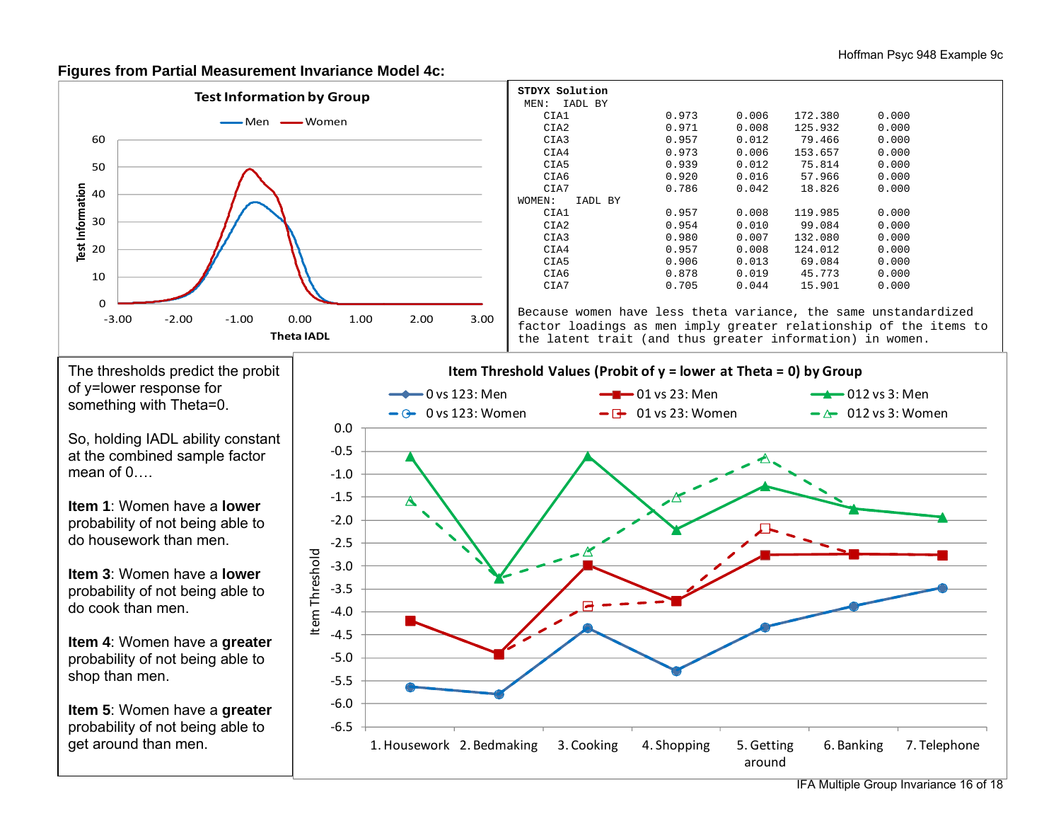#### **Figures from Partial Measurement Invariance Model 4c:**



| STDYX Solution                                                    |       |       |                |       |  |  |
|-------------------------------------------------------------------|-------|-------|----------------|-------|--|--|
| MEN: IADL BY                                                      |       |       |                |       |  |  |
| CIA1                                                              | 0.973 | 0.006 | 172.380        | 0.000 |  |  |
| CIA2                                                              | 0.971 | 0.008 | 125.932        | 0.000 |  |  |
| CIA3                                                              | 0.957 |       | $0.012$ 79.466 | 0.000 |  |  |
| CIA4                                                              | 0.973 | 0.006 | 153.657        | 0.000 |  |  |
| CIA5                                                              | 0.939 |       | $0.012$ 75.814 | 0.000 |  |  |
| CIA6                                                              | 0.920 |       | $0.016$ 57.966 | 0.000 |  |  |
| CIA7                                                              | 0.786 | 0.042 | 18.826         | 0.000 |  |  |
| WOMEN:<br>IADL BY                                                 |       |       |                |       |  |  |
| CIA1                                                              | 0.957 | 0.008 | 119.985        | 0.000 |  |  |
| CIA2                                                              | 0.954 | 0.010 | 99.084         | 0.000 |  |  |
| CIA3                                                              | 0.980 | 0.007 | 132.080        | 0.000 |  |  |
| CIA4                                                              | 0.957 | 0.008 | 124.012        | 0.000 |  |  |
| CIA5                                                              | 0.906 |       | 0.013 69.084   | 0.000 |  |  |
| CIA6                                                              | 0.878 |       | $0.019$ 45.773 | 0.000 |  |  |
| CIA7                                                              | 0.705 | 0.044 | 15.901         | 0.000 |  |  |
|                                                                   |       |       |                |       |  |  |
| Because women have less theta variance, the same unstandardized   |       |       |                |       |  |  |
| factor loadings as men imply greater relationship of the items to |       |       |                |       |  |  |
| the latent trait (and thus greater information) in women.         |       |       |                |       |  |  |
|                                                                   |       |       |                |       |  |  |

The thresholds predict the probit of y=lower response for something with Theta=0.

So, holding IADL ability constant at the combined sample factor mean of  $0$ ...

**Item 1**: Women have a **lower**probability of not being able to do housework than men.

**Item 3**: Women have a **lower**probability of not being able to do cook than men.

**Item 4**: Women have a **greater** probability of not being able to shop than men.

**Item 5**: Women have a **greater** probability of not being able to get around than men.



IFA Multiple Group Invariance 16 of 18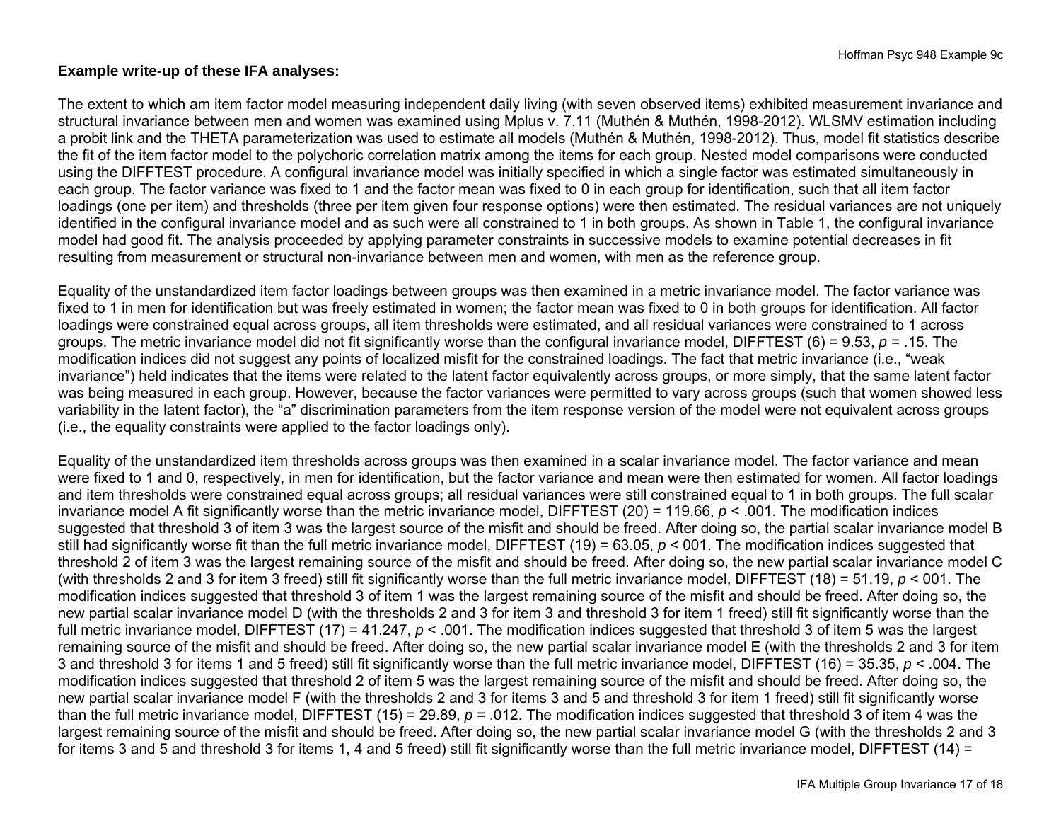### **Example write-up of these IFA analyses:**

The extent to which am item factor model measuring independent daily living (with seven observed items) exhibited measurement invariance and structural invariance between men and women was examined using Mplus v. 7.11 (Muthén & Muthén, 1998-2012). WLSMV estimation including a probit link and the THETA parameterization was used to estimate all models (Muthén & Muthén, 1998-2012). Thus, model fit statistics describe the fit of the item factor model to the polychoric correlation matrix among the items for each group. Nested model comparisons were conducted using the DIFFTEST procedure. A configural invariance model was initially specified in which a single factor was estimated simultaneously in each group. The factor variance was fixed to 1 and the factor mean was fixed to 0 in each group for identification, such that all item factor loadings (one per item) and thresholds (three per item given four response options) were then estimated. The residual variances are not uniquely identified in the configural invariance model and as such were all constrained to 1 in both groups. As shown in Table 1, the configural invariance model had good fit. The analysis proceeded by applying parameter constraints in successive models to examine potential decreases in fit resulting from measurement or structural non-invariance between men and women, with men as the reference group.

Equality of the unstandardized item factor loadings between groups was then examined in a metric invariance model. The factor variance was fixed to 1 in men for identification but was freely estimated in women; the factor mean was fixed to 0 in both groups for identification. All factor loadings were constrained equal across groups, all item thresholds were estimated, and all residual variances were constrained to 1 across groups. The metric invariance model did not fit significantly worse than the configural invariance model, DIFFTEST (6) = 9.53, *p* = .15. The modification indices did not suggest any points of localized misfit for the constrained loadings. The fact that metric invariance (i.e., "weak invariance") held indicates that the items were related to the latent factor equivalently across groups, or more simply, that the same latent factor was being measured in each group. However, because the factor variances were permitted to vary across groups (such that women showed less variability in the latent factor), the "a" discrimination parameters from the item response version of the model were not equivalent across groups (i.e., the equality constraints were applied to the factor loadings only).

Equality of the unstandardized item thresholds across groups was then examined in a scalar invariance model. The factor variance and mean were fixed to 1 and 0, respectively, in men for identification, but the factor variance and mean were then estimated for women. All factor loadings and item thresholds were constrained equal across groups; all residual variances were still constrained equal to 1 in both groups. The full scalar invariance model A fit significantly worse than the metric invariance model, DIFFTEST (20) = 119.66, *p* < .001. The modification indices suggested that threshold 3 of item 3 was the largest source of the misfit and should be freed. After doing so, the partial scalar invariance model B still had significantly worse fit than the full metric invariance model, DIFFTEST (19) = 63.05,  $p < 001$ . The modification indices suggested that threshold 2 of item 3 was the largest remaining source of the misfit and should be freed. After doing so, the new partial scalar invariance model C (with thresholds 2 and 3 for item 3 freed) still fit significantly worse than the full metric invariance model, DIFFTEST (18) = 51.19, *p* < 001. The modification indices suggested that threshold 3 of item 1 was the largest remaining source of the misfit and should be freed. After doing so, the new partial scalar invariance model D (with the thresholds 2 and 3 for item 3 and threshold 3 for item 1 freed) still fit significantly worse than the full metric invariance model, DIFFTEST (17) = 41.247,  $p < .001$ . The modification indices suggested that threshold 3 of item 5 was the largest remaining source of the misfit and should be freed. After doing so, the new partial scalar invariance model E (with the thresholds 2 and 3 for item 3 and threshold 3 for items 1 and 5 freed) still fit significantly worse than the full metric invariance model, DIFFTEST (16) = 35.35, *p* < .004. The modification indices suggested that threshold 2 of item 5 was the largest remaining source of the misfit and should be freed. After doing so, the new partial scalar invariance model F (with the thresholds 2 and 3 for items 3 and 5 and threshold 3 for item 1 freed) still fit significantly worse than the full metric invariance model, DIFFTEST (15) = 29.89, *p* = .012. The modification indices suggested that threshold 3 of item 4 was the largest remaining source of the misfit and should be freed. After doing so, the new partial scalar invariance model G (with the thresholds 2 and 3 for items 3 and 5 and threshold 3 for items 1, 4 and 5 freed) still fit significantly worse than the full metric invariance model, DIFFTEST (14) =